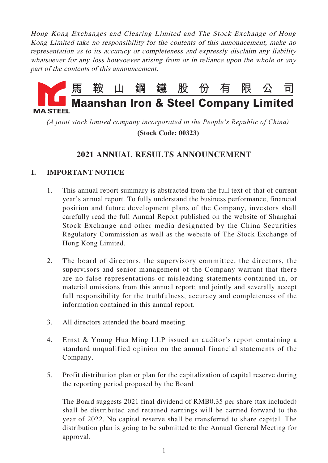Hong Kong Exchanges and Clearing Limited and The Stock Exchange of Hong Kong Limited take no responsibility for the contents of this announcement, make no representation as to its accuracy or completeness and expressly disclaim any liability whatsoever for any loss howsoever arising from or in reliance upon the whole or any part of the contents of this announcement.



*(A joint stock limited company incorporated in the People's Republic of China)*

 **(Stock Code: 00323)**

# **2021 ANNUAL RESULTS ANNOUNCEMENT**

# **I. IMPORTANT NOTICE**

- 1. This annual report summary is abstracted from the full text of that of current year's annual report. To fully understand the business performance, financial position and future development plans of the Company, investors shall carefully read the full Annual Report published on the website of Shanghai Stock Exchange and other media designated by the China Securities Regulatory Commission as well as the website of The Stock Exchange of Hong Kong Limited.
- 2. The board of directors, the supervisory committee, the directors, the supervisors and senior management of the Company warrant that there are no false representations or misleading statements contained in, or material omissions from this annual report; and jointly and severally accept full responsibility for the truthfulness, accuracy and completeness of the information contained in this annual report.
- 3. All directors attended the board meeting.
- 4. Ernst & Young Hua Ming LLP issued an auditor's report containing a standard unqualified opinion on the annual financial statements of the Company.
- 5. Profit distribution plan or plan for the capitalization of capital reserve during the reporting period proposed by the Board

The Board suggests 2021 final dividend of RMB0.35 per share (tax included) shall be distributed and retained earnings will be carried forward to the year of 2022. No capital reserve shall be transferred to share capital. The distribution plan is going to be submitted to the Annual General Meeting for approval.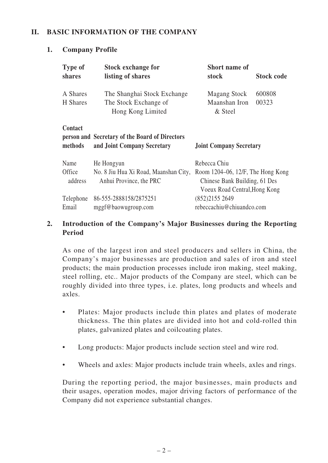# **II. BASIC INFORMATION OF THE COMPANY**

## **1. Company Profile**

| <b>Type of</b><br>shares                                                                                                              | <b>Stock exchange for</b><br>listing of shares                                 | <b>Short name of</b><br>stock                                                                                             | <b>Stock code</b> |  |  |
|---------------------------------------------------------------------------------------------------------------------------------------|--------------------------------------------------------------------------------|---------------------------------------------------------------------------------------------------------------------------|-------------------|--|--|
| A Shares<br>H Shares                                                                                                                  | The Shanghai Stock Exchange<br>The Stock Exchange of<br>Hong Kong Limited      | <b>Magang Stock</b><br>Maanshan Iron<br>& Steel                                                                           | 600808<br>00323   |  |  |
| Contact<br>person and Secretary of the Board of Directors<br>methods<br>and Joint Company Secretary<br><b>Joint Company Secretary</b> |                                                                                |                                                                                                                           |                   |  |  |
| Name<br>Office<br>address                                                                                                             | He Hongyun<br>No. 8 Jiu Hua Xi Road, Maanshan City,<br>Anhui Province, the PRC | Rebecca Chiu<br>Room $1204-06$ , $12/F$ , The Hong Kong<br>Chinese Bank Building, 61 Des<br>Voeux Road Central, Hong Kong |                   |  |  |
| Telephone<br>Email                                                                                                                    | 86-555-2888158/2875251<br>mggf@baowugroup.com                                  | (852)2155 2649<br>rebeccachiu@chiuandco.com                                                                               |                   |  |  |

# **2. Introduction of the Company's Major Businesses during the Reporting Period**

As one of the largest iron and steel producers and sellers in China, the Company's major businesses are production and sales of iron and steel products; the main production processes include iron making, steel making, steel rolling, etc.. Major products of the Company are steel, which can be roughly divided into three types, i.e. plates, long products and wheels and axles.

- Plates: Major products include thin plates and plates of moderate thickness. The thin plates are divided into hot and cold-rolled thin plates, galvanized plates and coilcoating plates.
- Long products: Major products include section steel and wire rod.
- Wheels and axles: Major products include train wheels, axles and rings.

During the reporting period, the major businesses, main products and their usages, operation modes, major driving factors of performance of the Company did not experience substantial changes.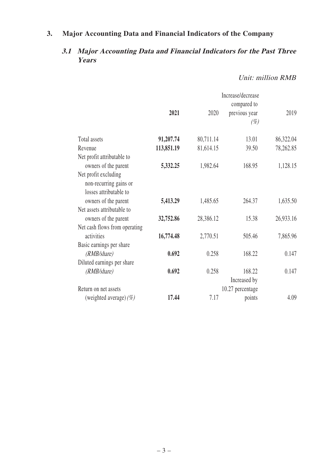# **3. Major Accounting Data and Financial Indicators of the Company**

# **3.1 Major Accounting Data and Financial Indicators for the Past Three Years**

# Unit: million RMB

| Increase/decrease |           |                  |           |  |
|-------------------|-----------|------------------|-----------|--|
|                   |           | compared to      |           |  |
| 2021              | 2020      | previous year    | 2019      |  |
|                   |           | $(\%)$           |           |  |
| 91,207.74         | 80,711.14 | 13.01            | 86,322.04 |  |
| 113,851.19        | 81,614.15 | 39.50            | 78,262.85 |  |
|                   |           |                  |           |  |
| 5,332.25          | 1,982.64  | 168.95           | 1,128.15  |  |
|                   |           |                  |           |  |
|                   |           |                  |           |  |
|                   |           |                  |           |  |
| 5,413.29          | 1,485.65  | 264.37           | 1,635.50  |  |
|                   |           |                  |           |  |
| 32,752.86         | 28,386.12 | 15.38            | 26,933.16 |  |
|                   |           |                  |           |  |
| 16,774.48         | 2,770.51  | 505.46           | 7,865.96  |  |
|                   |           |                  |           |  |
| 0.692             | 0.258     | 168.22           | 0.147     |  |
|                   |           |                  |           |  |
| 0.692             | 0.258     | 168.22           | 0.147     |  |
|                   |           | Increased by     |           |  |
|                   |           | 10.27 percentage |           |  |
| 17.44             | 7.17      | points           | 4.09      |  |
|                   |           |                  |           |  |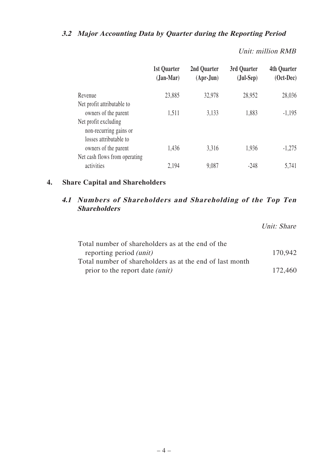# **3.2 Major Accounting Data by Quarter during the Reporting Period**

Unit: million RMB

|                                                    | 1st Quarter<br>$(Jan-Mar)$ | 2nd Quarter<br>$(Apr-Jun)$ | 3rd Quarter<br>$(Jul-Sep)$ | <b>4th Quarter</b><br>$(Oct-Dec)$ |
|----------------------------------------------------|----------------------------|----------------------------|----------------------------|-----------------------------------|
| Revenue                                            | 23,885                     | 32,978                     | 28,952                     | 28,036                            |
| Net profit attributable to<br>owners of the parent | 1,511                      | 3,133                      | 1,883                      | $-1,195$                          |
| Net profit excluding<br>non-recurring gains or     |                            |                            |                            |                                   |
| losses attributable to                             |                            |                            |                            |                                   |
| owners of the parent                               | 1,436                      | 3,316                      | 1,936                      | $-1,275$                          |
| Net cash flows from operating                      |                            |                            |                            |                                   |
| activities                                         | 2,194                      | 9,087                      | -248                       | 5,741                             |

# **4. Share Capital and Shareholders**

# **4.1 Numbers of Shareholders and Shareholding of the Top Ten Shareholders**

Unit: Share

| Total number of shareholders as at the end of the        |         |
|----------------------------------------------------------|---------|
| reporting period <i>(unit)</i>                           | 170,942 |
| Total number of shareholders as at the end of last month |         |
| prior to the report date <i>(unit)</i>                   | 172,460 |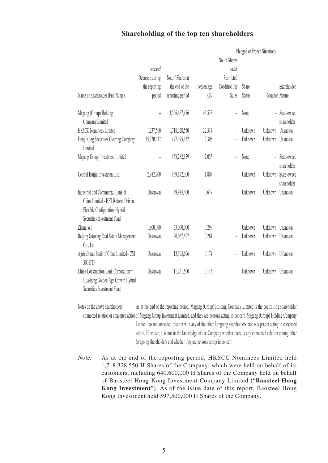#### **Shareholding of the top ten shareholders**

|                                                                                                                                       |                          | Pledged or Frozen Situations |            |               |               |                |                            |
|---------------------------------------------------------------------------------------------------------------------------------------|--------------------------|------------------------------|------------|---------------|---------------|----------------|----------------------------|
|                                                                                                                                       |                          |                              |            | No. of Shares |               |                |                            |
|                                                                                                                                       | Increase/                |                              |            | under         |               |                |                            |
|                                                                                                                                       | Decrease during          | No. of Shares at             |            | Restricted    |               |                |                            |
|                                                                                                                                       | the reporting            | the end of the               | Percentage | Condition for | Share         |                | Shareholder                |
| Name of Shareholder (Full Name)                                                                                                       | period                   | reporting period             | (%)        | Sales         | <b>Status</b> | Number Nature  |                            |
| Magang (Group) Holding<br>Company Limited                                                                                             | $\overline{\phantom{a}}$ | 3,506,467,456                | 45.535     |               | None          | $\overline{a}$ | State-owned<br>shareholder |
| <b>HKSCC Nominees Limited</b>                                                                                                         | 1,237,500                | 1,718,328,550                | 22.314     |               | Unknown       | Unknown        | Unknown                    |
| Hong Kong Securities Clearing Company<br>Limited                                                                                      | 35,320,432               | 177,475,432                  | 2.305      |               | Unknown       | Unknown        | Unknown                    |
| Magang Group Investment Limited                                                                                                       |                          | 158,282,159                  | 2.055      |               | None          | $\overline{a}$ | State-owned<br>shareholder |
| Central Huijin Investment Ltd.                                                                                                        | $-2,982,700$             | 139,172,300                  | 1.807      |               | Unknown       | Unknown        | State-owned<br>shareholder |
| Industrial and Commercial Bank of<br>China Limited - HFT Reform Driven<br>Flexible Configuration Hybrid<br>Securities Investment Fund | Unknown                  | 49,984,400                   | 0.649      |               | Unknown       | Unknown        | Unknown                    |
| Zhang Wu                                                                                                                              | $-1,800,000$             | 23,000,000                   | 0.299      |               | Unknown       | Unknown        | Unknown                    |
| Beijing Guoxing Real Estate Management<br>$Co$ ., Ltd.                                                                                | Unknown                  | 20,067,507                   | 0.261      |               | Unknown       | Unknown        | Unknown                    |
| Agricultural Bank of China Limited-CSI<br>500 ETF                                                                                     | Unknown                  | 13,393,696                   | 0.174      |               | Unknown       | Unknown        | Unknown                    |
| China Construction Bank Corporation-<br>Huashang Golden Age Growth Hybrid<br>Securities Investment Fund                               | Unknown                  | 11,231,500                   | 0.146      |               | Unknown       | Unknown        | Unknown                    |

Notes on the above shareholders' connected relation of concerted actionol magang Group Investment Limited, and they are persons acting in concert. Magang (Group) Holding Company As at the end of the reporting period, Magang (Group) Holding Company Limited is the controlling shareholder Limited has no connected relation with any of the other foregoing shareholders, nor is a person acting in concerted action. However, it is not in the knowledge of the Company whether there is any connected relation among other foregoing shareholders and whether they are persons acting in concert.

Note: As at the end of the reporting period, HKSCC Nominees Limited held 1,718,328,550 H Shares of the Company, which were held on behalf of its customers, including 640,600,000 H Shares of the Company held on behalf of Baosteel Hong Kong Investment Company Limited ("**Baosteel Hong Kong Investment**"). As of the issue date of this report, Baosteel Hong Kong Investment held 597,500,000 H Shares of the Company.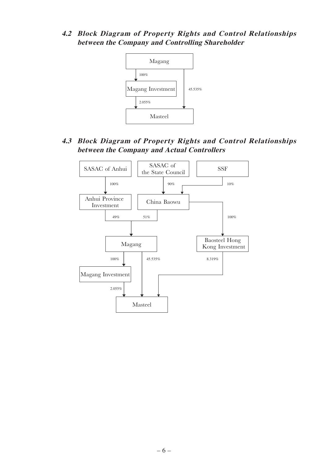# **4.2 Block Diagram of Property Rights and Control Relationships between the Company and Controlling Shareholder**



# **4.3 Block Diagram of Property Rights and Control Relationships between the Company and Actual Controllers**

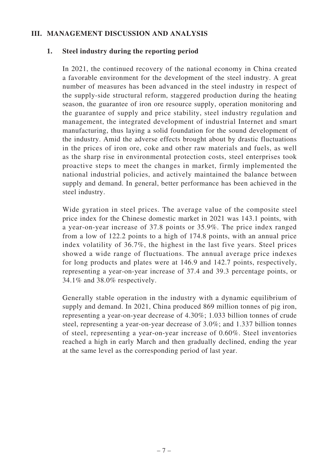#### **III. MANAGEMENT DISCUSSION AND ANALYSIS**

#### **1. Steel industry during the reporting period**

In 2021, the continued recovery of the national economy in China created a favorable environment for the development of the steel industry. A great number of measures has been advanced in the steel industry in respect of the supply-side structural reform, staggered production during the heating season, the guarantee of iron ore resource supply, operation monitoring and the guarantee of supply and price stability, steel industry regulation and management, the integrated development of industrial Internet and smart manufacturing, thus laying a solid foundation for the sound development of the industry. Amid the adverse effects brought about by drastic fluctuations in the prices of iron ore, coke and other raw materials and fuels, as well as the sharp rise in environmental protection costs, steel enterprises took proactive steps to meet the changes in market, firmly implemented the national industrial policies, and actively maintained the balance between supply and demand. In general, better performance has been achieved in the steel industry.

Wide gyration in steel prices. The average value of the composite steel price index for the Chinese domestic market in 2021 was 143.1 points, with a year-on-year increase of 37.8 points or 35.9%. The price index ranged from a low of 122.2 points to a high of 174.8 points, with an annual price index volatility of 36.7%, the highest in the last five years. Steel prices showed a wide range of fluctuations. The annual average price indexes for long products and plates were at 146.9 and 142.7 points, respectively, representing a year-on-year increase of 37.4 and 39.3 percentage points, or 34.1% and 38.0% respectively.

Generally stable operation in the industry with a dynamic equilibrium of supply and demand. In 2021, China produced 869 million tonnes of pig iron, representing a year-on-year decrease of 4.30%; 1.033 billion tonnes of crude steel, representing a year-on-year decrease of 3.0%; and 1.337 billion tonnes of steel, representing a year-on-year increase of 0.60%. Steel inventories reached a high in early March and then gradually declined, ending the year at the same level as the corresponding period of last year.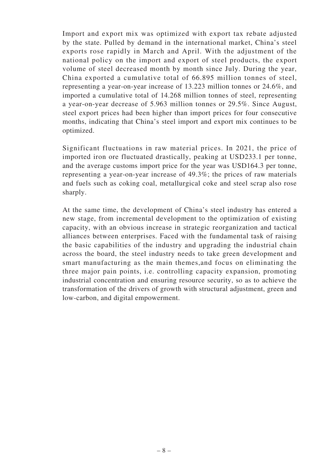Import and export mix was optimized with export tax rebate adjusted by the state. Pulled by demand in the international market, China's steel exports rose rapidly in March and April. With the adjustment of the national policy on the import and export of steel products, the export volume of steel decreased month by month since July. During the year, China exported a cumulative total of 66.895 million tonnes of steel, representing a year-on-year increase of 13.223 million tonnes or 24.6%, and imported a cumulative total of 14.268 million tonnes of steel, representing a year-on-year decrease of 5.963 million tonnes or 29.5%. Since August, steel export prices had been higher than import prices for four consecutive months, indicating that China's steel import and export mix continues to be optimized.

Significant fluctuations in raw material prices. In 2021, the price of imported iron ore fluctuated drastically, peaking at USD233.1 per tonne, and the average customs import price for the year was USD164.3 per tonne, representing a year-on-year increase of 49.3%; the prices of raw materials and fuels such as coking coal, metallurgical coke and steel scrap also rose sharply.

At the same time, the development of China's steel industry has entered a new stage, from incremental development to the optimization of existing capacity, with an obvious increase in strategic reorganization and tactical alliances between enterprises. Faced with the fundamental task of raising the basic capabilities of the industry and upgrading the industrial chain across the board, the steel industry needs to take green development and smart manufacturing as the main themes,and focus on eliminating the three major pain points, i.e. controlling capacity expansion, promoting industrial concentration and ensuring resource security, so as to achieve the transformation of the drivers of growth with structural adjustment, green and low-carbon, and digital empowerment.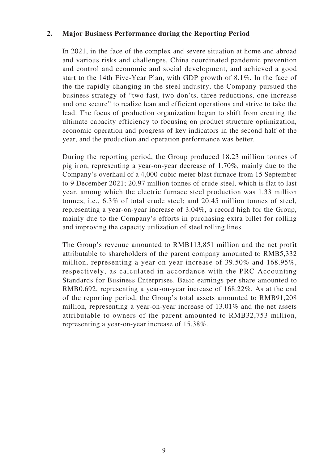#### **2. Major Business Performance during the Reporting Period**

In 2021, in the face of the complex and severe situation at home and abroad and various risks and challenges, China coordinated pandemic prevention and control and economic and social development, and achieved a good start to the 14th Five-Year Plan, with GDP growth of 8.1%. In the face of the the rapidly changing in the steel industry, the Company pursued the business strategy of "two fast, two don'ts, three reductions, one increase and one secure" to realize lean and efficient operations and strive to take the lead. The focus of production organization began to shift from creating the ultimate capacity efficiency to focusing on product structure optimization, economic operation and progress of key indicators in the second half of the year, and the production and operation performance was better.

During the reporting period, the Group produced 18.23 million tonnes of pig iron, representing a year-on-year decrease of 1.70%, mainly due to the Company's overhaul of a 4,000-cubic meter blast furnace from 15 September to 9 December 2021; 20.97 million tonnes of crude steel, which is flat to last year, among which the electric furnace steel production was 1.33 million tonnes, i.e., 6.3% of total crude steel; and 20.45 million tonnes of steel, representing a year-on-year increase of 3.04%, a record high for the Group, mainly due to the Company's efforts in purchasing extra billet for rolling and improving the capacity utilization of steel rolling lines.

The Group's revenue amounted to RMB113,851 million and the net profit attributable to shareholders of the parent company amounted to RMB5,332 million, representing a year-on-year increase of 39.50% and 168.95%, respectively, as calculated in accordance with the PRC Accounting Standards for Business Enterprises. Basic earnings per share amounted to RMB0.692, representing a year-on-year increase of 168.22%. As at the end of the reporting period, the Group's total assets amounted to RMB91,208 million, representing a year-on-year increase of 13.01% and the net assets attributable to owners of the parent amounted to RMB32,753 million, representing a year-on-year increase of 15.38%.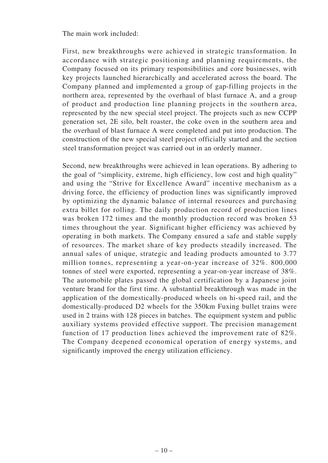The main work included:

First, new breakthroughs were achieved in strategic transformation. In accordance with strategic positioning and planning requirements, the Company focused on its primary responsibilities and core businesses, with key projects launched hierarchically and accelerated across the board. The Company planned and implemented a group of gap-filling projects in the northern area, represented by the overhaul of blast furnace A, and a group of product and production line planning projects in the southern area, represented by the new special steel project. The projects such as new CCPP generation set, 2E silo, belt roaster, the coke oven in the southern area and the overhaul of blast furnace A were completed and put into production. The construction of the new special steel project officially started and the section steel transformation project was carried out in an orderly manner.

Second, new breakthroughs were achieved in lean operations. By adhering to the goal of "simplicity, extreme, high efficiency, low cost and high quality" and using the "Strive for Excellence Award" incentive mechanism as a driving force, the efficiency of production lines was significantly improved by optimizing the dynamic balance of internal resources and purchasing extra billet for rolling. The daily production record of production lines was broken 172 times and the monthly production record was broken 53 times throughout the year. Significant higher efficiency was achieved by operating in both markets. The Company ensured a safe and stable supply of resources. The market share of key products steadily increased. The annual sales of unique, strategic and leading products amounted to 3.77 million tonnes, representing a year-on-year increase of 32%. 800,000 tonnes of steel were exported, representing a year-on-year increase of 38%. The automobile plates passed the global certification by a Japanese joint venture brand for the first time. A substantial breakthrough was made in the application of the domestically-produced wheels on hi-speed rail, and the domestically-produced D2 wheels for the 350km Fuxing bullet trains were used in 2 trains with 128 pieces in batches. The equipment system and public auxiliary systems provided effective support. The precision management function of 17 production lines achieved the improvement rate of 82%. The Company deepened economical operation of energy systems, and significantly improved the energy utilization efficiency.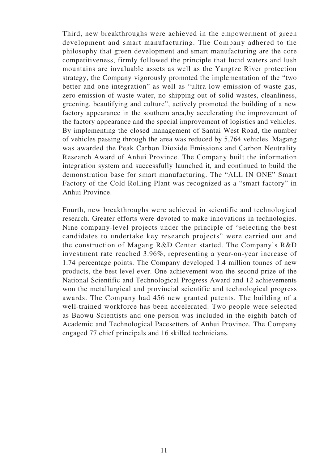Third, new breakthroughs were achieved in the empowerment of green development and smart manufacturing. The Company adhered to the philosophy that green development and smart manufacturing are the core competitiveness, firmly followed the principle that lucid waters and lush mountains are invaluable assets as well as the Yangtze River protection strategy, the Company vigorously promoted the implementation of the "two better and one integration" as well as "ultra-low emission of waste gas, zero emission of waste water, no shipping out of solid wastes, cleanliness, greening, beautifying and culture", actively promoted the building of a new factory appearance in the southern area,by accelerating the improvement of the factory appearance and the special improvement of logistics and vehicles. By implementing the closed management of Santai West Road, the number of vehicles passing through the area was reduced by 5,764 vehicles. Magang was awarded the Peak Carbon Dioxide Emissions and Carbon Neutrality Research Award of Anhui Province. The Company built the information integration system and successfully launched it, and continued to build the demonstration base for smart manufacturing. The "ALL IN ONE" Smart Factory of the Cold Rolling Plant was recognized as a "smart factory" in Anhui Province.

Fourth, new breakthroughs were achieved in scientific and technological research. Greater efforts were devoted to make innovations in technologies. Nine company-level projects under the principle of "selecting the best candidates to undertake key research projects" were carried out and the construction of Magang R&D Center started. The Company's R&D investment rate reached 3.96%, representing a year-on-year increase of 1.74 percentage points. The Company developed 1.4 million tonnes of new products, the best level ever. One achievement won the second prize of the National Scientific and Technological Progress Award and 12 achievements won the metallurgical and provincial scientific and technological progress awards. The Company had 456 new granted patents. The building of a well-trained workforce has been accelerated. Two people were selected as Baowu Scientists and one person was included in the eighth batch of Academic and Technological Pacesetters of Anhui Province. The Company engaged 77 chief principals and 16 skilled technicians.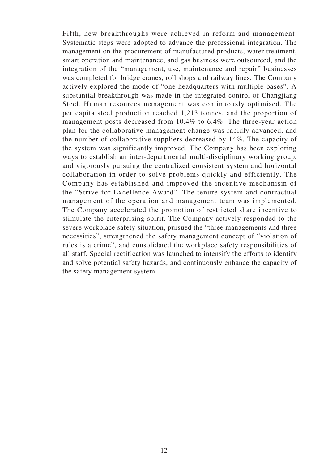Fifth, new breakthroughs were achieved in reform and management. Systematic steps were adopted to advance the professional integration. The management on the procurement of manufactured products, water treatment, smart operation and maintenance, and gas business were outsourced, and the integration of the "management, use, maintenance and repair" businesses was completed for bridge cranes, roll shops and railway lines. The Company actively explored the mode of "one headquarters with multiple bases". A substantial breakthrough was made in the integrated control of Changjiang Steel. Human resources management was continuously optimised. The per capita steel production reached 1,213 tonnes, and the proportion of management posts decreased from 10.4% to 6.4%. The three-year action plan for the collaborative management change was rapidly advanced, and the number of collaborative suppliers decreased by 14%. The capacity of the system was significantly improved. The Company has been exploring ways to establish an inter-departmental multi-disciplinary working group, and vigorously pursuing the centralized consistent system and horizontal collaboration in order to solve problems quickly and efficiently. The Company has established and improved the incentive mechanism of the "Strive for Excellence Award". The tenure system and contractual management of the operation and management team was implemented. The Company accelerated the promotion of restricted share incentive to stimulate the enterprising spirit. The Company actively responded to the severe workplace safety situation, pursued the "three managements and three necessities", strengthened the safety management concept of "violation of rules is a crime", and consolidated the workplace safety responsibilities of all staff. Special rectification was launched to intensify the efforts to identify and solve potential safety hazards, and continuously enhance the capacity of the safety management system.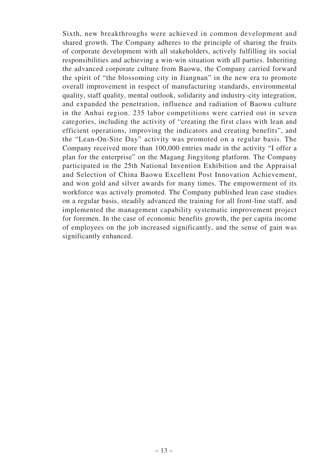Sixth, new breakthroughs were achieved in common development and shared growth. The Company adheres to the principle of sharing the fruits of corporate development with all stakeholders, actively fulfilling its social responsibilities and achieving a win-win situation with all parties. Inheriting the advanced corporate culture from Baowu, the Company carried forward the spirit of "the blossoming city in Jiangnan" in the new era to promote overall improvement in respect of manufacturing standards, environmental quality, staff quality, mental outlook, solidarity and industry-city integration, and expanded the penetration, influence and radiation of Baowu culture in the Anhui region. 235 labor competitions were carried out in seven categories, including the activity of "creating the first class with lean and efficient operations, improving the indicators and creating benefits", and the "Lean-On-Site Day" activity was promoted on a regular basis. The Company received more than 100,000 entries made in the activity "I offer a plan for the enterprise" on the Magang Jingyitong platform. The Company participated in the 25th National Invention Exhibition and the Appraisal and Selection of China Baowu Excellent Post Innovation Achievement, and won gold and silver awards for many times. The empowerment of its workforce was actively promoted. The Company published lean case studies on a regular basis, steadily advanced the training for all front-line staff, and implemented the management capability systematic improvement project for foremen. In the case of economic benefits growth, the per capita income of employees on the job increased significantly, and the sense of gain was significantly enhanced.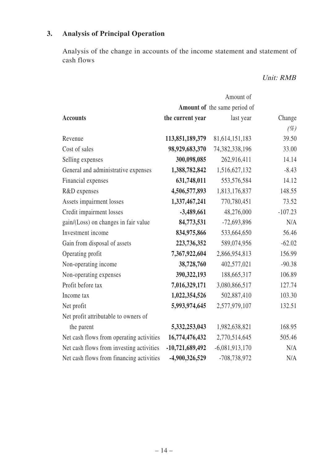# **3. Analysis of Principal Operation**

Analysis of the change in accounts of the income statement and statement of cash flows

# Unit: RMB

|                                          | Amount of         |                              |           |  |  |  |
|------------------------------------------|-------------------|------------------------------|-----------|--|--|--|
|                                          |                   | Amount of the same period of |           |  |  |  |
| <b>Accounts</b>                          | the current year  | last year                    | Change    |  |  |  |
|                                          |                   |                              | $(\%)$    |  |  |  |
| Revenue                                  | 113,851,189,379   | 81, 614, 151, 183            | 39.50     |  |  |  |
| Cost of sales                            | 98,929,683,370    | 74,382,338,196               | 33.00     |  |  |  |
| Selling expenses                         | 300,098,085       | 262,916,411                  | 14.14     |  |  |  |
| General and administrative expenses      | 1,388,782,842     | 1,516,627,132                | $-8.43$   |  |  |  |
| Financial expenses                       | 631,748,011       | 553,576,584                  | 14.12     |  |  |  |
| R&D expenses                             | 4,506,577,893     | 1,813,176,837                | 148.55    |  |  |  |
| Assets impairment losses                 | 1,337,467,241     | 770,780,451                  | 73.52     |  |  |  |
| Credit impairment losses                 | $-3,489,661$      | 48,276,000                   | $-107.23$ |  |  |  |
| gain/(Loss) on changes in fair value     | 84,773,531        | $-72,693,896$                | N/A       |  |  |  |
| Investment income                        | 834,975,866       | 533,664,650                  | 56.46     |  |  |  |
| Gain from disposal of assets             | 223,736,352       | 589,074,956                  | $-62.02$  |  |  |  |
| Operating profit                         | 7,367,922,604     | 2,866,954,813                | 156.99    |  |  |  |
| Non-operating income                     | 38,728,760        | 402,577,021                  | $-90.38$  |  |  |  |
| Non-operating expenses                   | 390, 322, 193     | 188,665,317                  | 106.89    |  |  |  |
| Profit before tax                        | 7,016,329,171     | 3,080,866,517                | 127.74    |  |  |  |
| Income tax                               | 1,022,354,526     | 502,887,410                  | 103.30    |  |  |  |
| Net profit                               | 5,993,974,645     | 2,577,979,107                | 132.51    |  |  |  |
| Net profit attributable to owners of     |                   |                              |           |  |  |  |
| the parent                               | 5,332,253,043     | 1,982,638,821                | 168.95    |  |  |  |
| Net cash flows from operating activities | 16,774,476,432    | 2,770,514,645                | 505.46    |  |  |  |
| Net cash flows from investing activities | $-10,721,689,492$ | $-6,081,913,170$             | N/A       |  |  |  |
| Net cash flows from financing activities | -4,900,326,529    | -708,738,972                 | N/A       |  |  |  |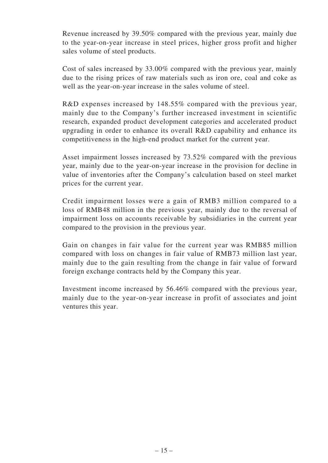Revenue increased by 39.50% compared with the previous year, mainly due to the year-on-year increase in steel prices, higher gross profit and higher sales volume of steel products.

Cost of sales increased by 33.00% compared with the previous year, mainly due to the rising prices of raw materials such as iron ore, coal and coke as well as the year-on-year increase in the sales volume of steel.

R&D expenses increased by 148.55% compared with the previous year, mainly due to the Company's further increased investment in scientific research, expanded product development categories and accelerated product upgrading in order to enhance its overall R&D capability and enhance its competitiveness in the high-end product market for the current year.

Asset impairment losses increased by 73.52% compared with the previous year, mainly due to the year-on-year increase in the provision for decline in value of inventories after the Company's calculation based on steel market prices for the current year.

Credit impairment losses were a gain of RMB3 million compared to a loss of RMB48 million in the previous year, mainly due to the reversal of impairment loss on accounts receivable by subsidiaries in the current year compared to the provision in the previous year.

Gain on changes in fair value for the current year was RMB85 million compared with loss on changes in fair value of RMB73 million last year, mainly due to the gain resulting from the change in fair value of forward foreign exchange contracts held by the Company this year.

Investment income increased by 56.46% compared with the previous year, mainly due to the year-on-year increase in profit of associates and joint ventures this year.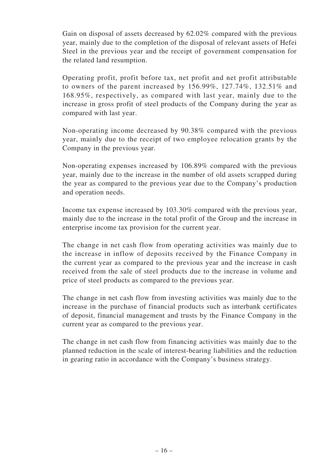Gain on disposal of assets decreased by 62.02% compared with the previous year, mainly due to the completion of the disposal of relevant assets of Hefei Steel in the previous year and the receipt of government compensation for the related land resumption.

Operating profit, profit before tax, net profit and net profit attributable to owners of the parent increased by 156.99%, 127.74%, 132.51% and 168.95%, respectively, as compared with last year, mainly due to the increase in gross profit of steel products of the Company during the year as compared with last year.

Non-operating income decreased by 90.38% compared with the previous year, mainly due to the receipt of two employee relocation grants by the Company in the previous year.

Non-operating expenses increased by 106.89% compared with the previous year, mainly due to the increase in the number of old assets scrapped during the year as compared to the previous year due to the Company's production and operation needs.

Income tax expense increased by 103.30% compared with the previous year, mainly due to the increase in the total profit of the Group and the increase in enterprise income tax provision for the current year.

The change in net cash flow from operating activities was mainly due to the increase in inflow of deposits received by the Finance Company in the current year as compared to the previous year and the increase in cash received from the sale of steel products due to the increase in volume and price of steel products as compared to the previous year.

The change in net cash flow from investing activities was mainly due to the increase in the purchase of financial products such as interbank certificates of deposit, financial management and trusts by the Finance Company in the current year as compared to the previous year.

The change in net cash flow from financing activities was mainly due to the planned reduction in the scale of interest-bearing liabilities and the reduction in gearing ratio in accordance with the Company's business strategy.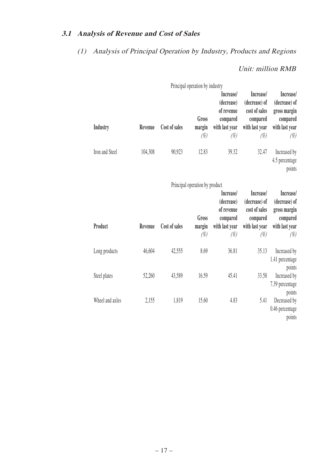# **3.1 Analysis of Revenue and Cost of Sales**

# (1) Analysis of Principal Operation by Industry, Products and Regions

# Unit: million RMB

|                 |         |               | Principal operation by industry |                                                                               |                                                                                     |                                                                                    |
|-----------------|---------|---------------|---------------------------------|-------------------------------------------------------------------------------|-------------------------------------------------------------------------------------|------------------------------------------------------------------------------------|
| <b>Industry</b> | Revenue | Cost of sales | Gross<br>margin<br>$(\%)$       | Increase/<br>(decrease)<br>of revenue<br>compared<br>with last year<br>$(\%)$ | Increase/<br>(decrease) of<br>cost of sales<br>compared<br>with last year<br>$(\%)$ | Increase/<br>(decrease) of<br>gross margin<br>compared<br>with last year<br>$(\%)$ |
| Iron and Steel  | 104,308 | 90,923        | 12.83                           | 39.32                                                                         | 32.47                                                                               | Increased by<br>4.5 percentage<br>points                                           |
|                 |         |               | Principal operation by product  |                                                                               |                                                                                     |                                                                                    |
| Product         | Revenue | Cost of sales | Gross<br>margin                 | Increase/<br>(decrease)<br>of revenue<br>compared<br>with last year           | Increase/<br>(decrease) of<br>cost of sales<br>compared<br>with last year           | Increase/<br>(decrease) of<br>gross margin<br>compared<br>with last year           |
|                 |         |               | $(\%)$                          | (%)                                                                           | $(\%)$                                                                              | $(\%)$                                                                             |
| Long products   | 46,604  | 42,555        | 8.69                            | 36.81                                                                         | 35.13                                                                               | Increased by<br>1.41 percentage<br>points                                          |
| Steel plates    | 52,260  | 43,589        | 16.59                           | 45.41                                                                         | 33.58                                                                               | Increased by<br>7.39 percentage<br>points                                          |
| Wheel and axles | 2,155   | 1,819         | 15.60                           | 4.83                                                                          | 5.41                                                                                | Decreased by<br>0.46 percentage<br>points                                          |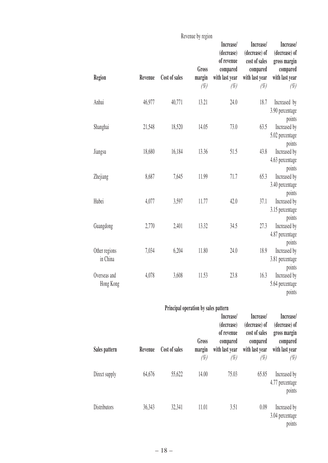|                           |         |                                      | Revenue by region         |                                                                               |                                                                                     |                                                                                    |
|---------------------------|---------|--------------------------------------|---------------------------|-------------------------------------------------------------------------------|-------------------------------------------------------------------------------------|------------------------------------------------------------------------------------|
| Region                    | Revenue | Cost of sales                        | Gross<br>margin<br>$(\%)$ | Increase/<br>(decrease)<br>of revenue<br>compared<br>with last year<br>$(\%)$ | Increase/<br>(decrease) of<br>cost of sales<br>compared<br>with last year<br>$(\%)$ | Increase/<br>(decrease) of<br>gross margin<br>compared<br>with last year<br>$(\%)$ |
| Anhui                     | 46,977  | 40,771                               | 13.21                     | 24.0                                                                          | 18.7                                                                                | Increased by<br>3.90 percentage<br>points                                          |
| Shanghai                  | 21,548  | 18,520                               | 14.05                     | 73.0                                                                          | 63.5                                                                                | Increased by<br>5.02 percentage<br>points                                          |
| Jiangsu                   | 18,680  | 16,184                               | 13.36                     | 51.5                                                                          | 43.8                                                                                | Increased by<br>4.63 percentage<br>points                                          |
| Zhejiang                  | 8,687   | 7,645                                | 11.99                     | 71.7                                                                          | 65.3                                                                                | Increased by<br>3.40 percentage<br>points                                          |
| Hubei                     | 4,077   | 3,597                                | 11.77                     | 42.0                                                                          | 37.1                                                                                | Increased by<br>3.15 percentage<br>points                                          |
| Guangdong                 | 2,770   | 2,401                                | 13.32                     | 34.5                                                                          | 27.3                                                                                | Increased by<br>4.87 percentage<br>points                                          |
| Other regions<br>in China | 7,034   | 6,204                                | 11.80                     | 24.0                                                                          | 18.9                                                                                | Increased by<br>3.81 percentage<br>points                                          |
| Overseas and<br>Hong Kong | 4,078   | 3,608                                | 11.53                     | 23.8                                                                          | 16.3                                                                                | Increased by<br>5.64 percentage<br>points                                          |
|                           |         | Principal operation by sales pattern |                           |                                                                               |                                                                                     |                                                                                    |
|                           |         |                                      |                           | Increase/<br>(decrease)<br>of revenue                                         | Increase/<br>(decrease) of<br>cost of sales                                         | Increase/<br>(decrease) of<br>gross margin                                         |
| Sales pattern             | Revenue | Cost of sales                        | Gross<br>margin<br>$(\%)$ | compared<br>with last year<br>$(\%)$                                          | compared<br>with last year<br>$(\%)$                                                | compared<br>with last year<br>(%)                                                  |
| Direct supply             | 64,676  | 55,622                               | 14.00                     | 75.03                                                                         | 65.85                                                                               | Increased by<br>4.77 percentage<br>points                                          |
| Distributors              | 36,343  | 32,341                               | 11.01                     | 3.51                                                                          | 0.09                                                                                | Increased by<br>3.04 percentage<br>points                                          |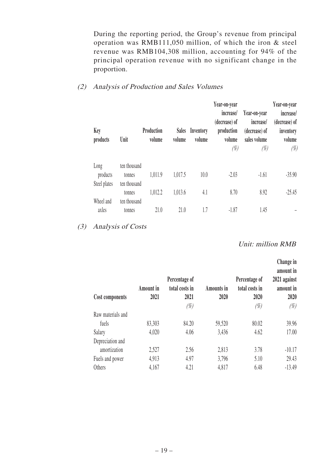During the reporting period, the Group's revenue from principal operation was RMB111,050 million, of which the iron & steel revenue was RMB104,308 million, accounting for 94% of the principal operation revenue with no significant change in the proportion.

#### (2) Analysis of Production and Sales Volumes

| Key<br>products    | Unit                   | Production<br>volume | <b>Sales</b><br>volume | Inventory<br>volume | Year-on-year<br>increase/<br>(decrease) of<br>production<br>volume<br>(%) | Year-on-year<br>increase/<br>(decrease) of<br>sales volume<br>(%) | Year-on-year<br>increase/<br>(decrease) of<br>inventory<br>volume<br>$(\%)$ |
|--------------------|------------------------|----------------------|------------------------|---------------------|---------------------------------------------------------------------------|-------------------------------------------------------------------|-----------------------------------------------------------------------------|
| Long<br>products   | ten thousand<br>tonnes | 1,011.9              | 1,017.5                | 10.0                | $-2.03$                                                                   | $-1.61$                                                           | $-35.90$                                                                    |
| Steel plates       | ten thousand<br>tonnes | 1,012.2              | 1,013.6                | 4.1                 | 8.70                                                                      | 8.92                                                              | $-25.45$                                                                    |
| Wheel and<br>axles | ten thousand<br>tonnes | 21.0                 | 21.0                   | 1.7                 | $-1.87$                                                                   | 1.45                                                              |                                                                             |

(3) Analysis of Costs

Unit: million RMB

| Cost components   | <b>Amount</b> in<br>2021 | Percentage of<br>total costs in<br>2021<br>$(\%)$ | <b>Amounts</b> in<br>2020 | Percentage of<br>total costs in<br>2020<br>(%) | Change in<br>amount in<br>2021 against<br>amount in<br>2020<br>(%) |
|-------------------|--------------------------|---------------------------------------------------|---------------------------|------------------------------------------------|--------------------------------------------------------------------|
| Raw materials and |                          |                                                   |                           |                                                |                                                                    |
| fuels             | 83,303                   | 84.20                                             | 59,520                    | 80.02                                          | 39.96                                                              |
| Salary            | 4,020                    | 4.06                                              | 3,436                     | 4.62                                           | 17.00                                                              |
| Depreciation and  |                          |                                                   |                           |                                                |                                                                    |
| amortization      | 2,527                    | 2.56                                              | 2,813                     | 3.78                                           | $-10.17$                                                           |
| Fuels and power   | 4,913                    | 4.97                                              | 3,796                     | 5.10                                           | 29.43                                                              |
| Others            | 4,167                    | 4.21                                              | 4,817                     | 6.48                                           | $-13.49$                                                           |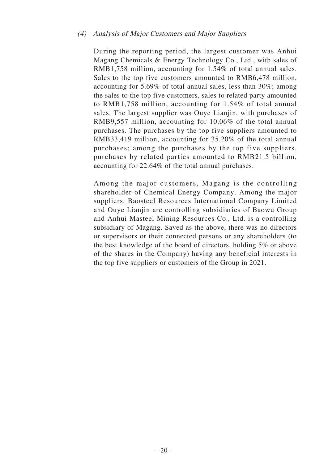#### (4) Analysis of Major Customers and Major Suppliers

During the reporting period, the largest customer was Anhui Magang Chemicals & Energy Technology Co., Ltd., with sales of RMB1,758 million, accounting for 1.54% of total annual sales. Sales to the top five customers amounted to RMB6,478 million, accounting for 5.69% of total annual sales, less than 30%; among the sales to the top five customers, sales to related party amounted to RMB1,758 million, accounting for 1.54% of total annual sales. The largest supplier was Ouye Lianjin, with purchases of RMB9,557 million, accounting for 10.06% of the total annual purchases. The purchases by the top five suppliers amounted to RMB33,419 million, accounting for 35.20% of the total annual purchases; among the purchases by the top five suppliers, purchases by related parties amounted to RMB21.5 billion, accounting for 22.64% of the total annual purchases.

Among the major customers, Magang is the controlling shareholder of Chemical Energy Company. Among the major suppliers, Baosteel Resources International Company Limited and Ouye Lianjin are controlling subsidiaries of Baowu Group and Anhui Masteel Mining Resources Co., Ltd. is a controlling subsidiary of Magang. Saved as the above, there was no directors or supervisors or their connected persons or any shareholders (to the best knowledge of the board of directors, holding 5% or above of the shares in the Company) having any beneficial interests in the top five suppliers or customers of the Group in 2021.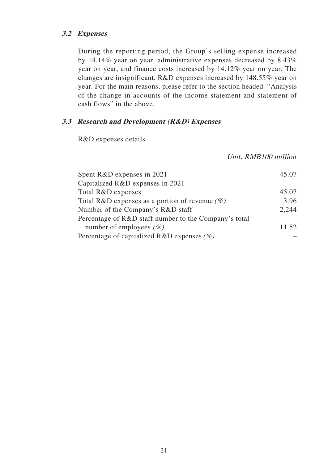# **3.2 Expenses**

During the reporting period, the Group's selling expense increased by 14.14% year on year, administrative expenses decreased by 8.43% year on year, and finance costs increased by 14.12% year on year. The changes are insignificant. R&D expenses increased by 148.55% year on year. For the main reasons, please refer to the section headed "Analysis of the change in accounts of the income statement and statement of cash flows" in the above.

# **3.3 Research and Development (R&D) Expenses**

R&D expenses details

Unit: RMB100 million

| 45.07 |
|-------|
|       |
| 45.07 |
| 3.96  |
| 2,244 |
|       |
| 11.52 |
|       |
|       |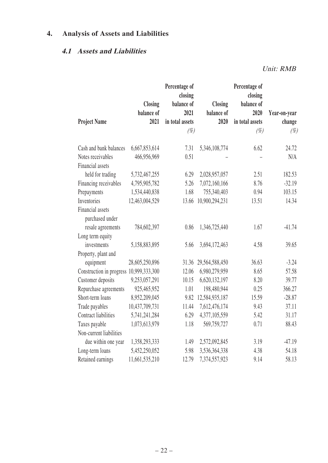# **4. Analysis of Assets and Liabilities**

# **4.1 Assets and Liabilities**

Unit: RMB

|                          | <b>Closing</b> | Percentage of<br>closing<br>balance of | Closing        | Percentage of<br>closing<br>balance of |              |
|--------------------------|----------------|----------------------------------------|----------------|----------------------------------------|--------------|
|                          | balance of     | 2021                                   | balance of     | 2020                                   | Year-on-year |
| <b>Project Name</b>      | 2021           | in total assets                        | 2020           | in total assets                        | change       |
|                          |                | $(\%)$                                 |                | $(\%)$                                 | $(\%)$       |
| Cash and bank balances   | 6,667,853,614  | 7.31                                   | 5,346,108,774  | 6.62                                   | 24.72        |
| Notes receivables        | 466,956,969    | 0.51                                   |                |                                        | N/A          |
| Financial assets         |                |                                        |                |                                        |              |
| held for trading         | 5,732,467,255  | 6.29                                   | 2,028,957,057  | 2.51                                   | 182.53       |
| Financing receivables    | 4,795,905,782  | 5.26                                   | 7,072,160,166  | 8.76                                   | $-32.19$     |
| Prepayments              | 1,534,440,838  | 1.68                                   | 755,340,403    | 0.94                                   | 103.15       |
| Inventories              | 12,463,004,529 | 13.66                                  | 10,900,294,231 | 13.51                                  | 14.34        |
| Financial assets         |                |                                        |                |                                        |              |
| purchased under          |                |                                        |                |                                        |              |
| resale agreements        | 784,602,397    | 0.86                                   | 1,346,725,440  | 1.67                                   | $-41.74$     |
| Long term equity         |                |                                        |                |                                        |              |
| investments              | 5,158,883,895  | 5.66                                   | 3,694,172,463  | 4.58                                   | 39.65        |
| Property, plant and      |                |                                        |                |                                        |              |
| equipment                | 28,605,250,896 | 31.36                                  | 29,564,588,450 | 36.63                                  | $-3.24$      |
| Construction in progress | 10,999,333,300 | 12.06                                  | 6,980,279,959  | 8.65                                   | 57.58        |
| Customer deposits        | 9,253,057,291  | 10.15                                  | 6,620,132,197  | 8.20                                   | 39.77        |
| Repurchase agreements    | 925,465,952    | 1.01                                   | 198,480,944    | 0.25                                   | 366.27       |
| Short-term loans         | 8,952,209,045  | 9.82                                   | 12,584,935,187 | 15.59                                  | $-28.87$     |
| Trade payables           | 10,437,709,731 | 11.44                                  | 7,612,476,174  | 9.43                                   | 37.11        |
| Contract liabilities     | 5,741,241,284  | 6.29                                   | 4,377,105,559  | 5.42                                   | 31.17        |
| Taxes payable            | 1,073,613,979  | 1.18                                   | 569,759,727    | 0.71                                   | 88.43        |
| Non-current liabilities  |                |                                        |                |                                        |              |
| due within one year      | 1,358,293,333  | 1.49                                   | 2,572,092,845  | 3.19                                   | $-47.19$     |
| Long-term loans          | 5,452,250,052  | 5.98                                   | 3,536,364,338  | 4.38                                   | 54.18        |
| Retained earnings        | 11,661,535,210 | 12.79                                  | 7,374,557,923  | 9.14                                   | 58.13        |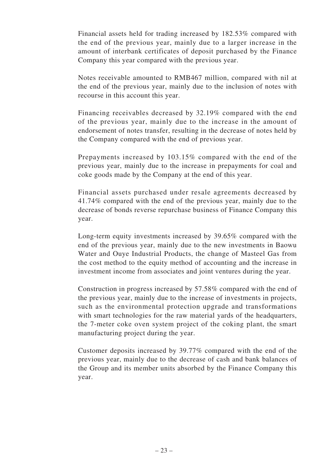Financial assets held for trading increased by 182.53% compared with the end of the previous year, mainly due to a larger increase in the amount of interbank certificates of deposit purchased by the Finance Company this year compared with the previous year.

Notes receivable amounted to RMB467 million, compared with nil at the end of the previous year, mainly due to the inclusion of notes with recourse in this account this year.

Financing receivables decreased by 32.19% compared with the end of the previous year, mainly due to the increase in the amount of endorsement of notes transfer, resulting in the decrease of notes held by the Company compared with the end of previous year.

Prepayments increased by 103.15% compared with the end of the previous year, mainly due to the increase in prepayments for coal and coke goods made by the Company at the end of this year.

Financial assets purchased under resale agreements decreased by 41.74% compared with the end of the previous year, mainly due to the decrease of bonds reverse repurchase business of Finance Company this year.

Long-term equity investments increased by 39.65% compared with the end of the previous year, mainly due to the new investments in Baowu Water and Ouye Industrial Products, the change of Masteel Gas from the cost method to the equity method of accounting and the increase in investment income from associates and joint ventures during the year.

Construction in progress increased by 57.58% compared with the end of the previous year, mainly due to the increase of investments in projects, such as the environmental protection upgrade and transformations with smart technologies for the raw material yards of the headquarters, the 7-meter coke oven system project of the coking plant, the smart manufacturing project during the year.

Customer deposits increased by 39.77% compared with the end of the previous year, mainly due to the decrease of cash and bank balances of the Group and its member units absorbed by the Finance Company this year.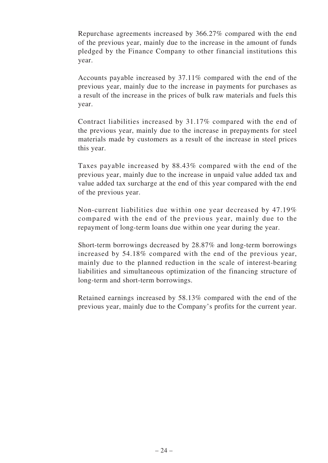Repurchase agreements increased by 366.27% compared with the end of the previous year, mainly due to the increase in the amount of funds pledged by the Finance Company to other financial institutions this year.

Accounts payable increased by 37.11% compared with the end of the previous year, mainly due to the increase in payments for purchases as a result of the increase in the prices of bulk raw materials and fuels this year.

Contract liabilities increased by 31.17% compared with the end of the previous year, mainly due to the increase in prepayments for steel materials made by customers as a result of the increase in steel prices this year.

Taxes payable increased by 88.43% compared with the end of the previous year, mainly due to the increase in unpaid value added tax and value added tax surcharge at the end of this year compared with the end of the previous year.

Non-current liabilities due within one year decreased by 47.19% compared with the end of the previous year, mainly due to the repayment of long-term loans due within one year during the year.

Short-term borrowings decreased by 28.87% and long-term borrowings increased by 54.18% compared with the end of the previous year, mainly due to the planned reduction in the scale of interest-bearing liabilities and simultaneous optimization of the financing structure of long-term and short-term borrowings.

Retained earnings increased by 58.13% compared with the end of the previous year, mainly due to the Company's profits for the current year.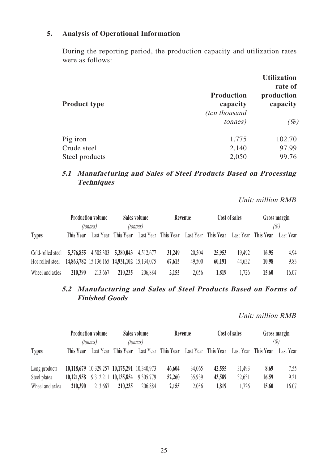## **5. Analysis of Operational Information**

During the reporting period, the production capacity and utilization rates were as follows:

|                     |                                                        | <b>Utilization</b><br>rate of |
|---------------------|--------------------------------------------------------|-------------------------------|
| <b>Product type</b> | <b>Production</b><br>capacity<br><i>(ten thousand)</i> | production<br>capacity        |
|                     | <i>tonnes</i> )                                        | $(\%)$                        |
| Pig iron            | 1,775                                                  | 102.70                        |
| Crude steel         | 2,140                                                  | 97.99                         |
| Steel products      | 2,050                                                  | 99.76                         |

# **5.1 Manufacturing and Sales of Steel Products Based on Processing Techniques**

Unit: million RMB

|                   |                                             | <b>Production volume</b> |                               | Sales volume    |                     | Revenue             |        | Cost of sales       |       | Gross margin     |
|-------------------|---------------------------------------------|--------------------------|-------------------------------|-----------------|---------------------|---------------------|--------|---------------------|-------|------------------|
| <b>Types</b>      | This Year                                   | <i>(tonnes)</i>          | Last Year This Year           | <i>(tonnes)</i> | Last Year This Year | Last Year This Year |        | Last Year This Year |       | (%)<br>Last Year |
| Cold-rolled steel |                                             |                          | 5,376,855 4,505,303 5,380,043 | 4,512,677       | 31,249              | 20,504              | 25,953 | 19,492              | 16.95 | 4.94             |
| Hot-rolled steel  | 14,863,782 15,136,165 14,931,102 15,134,075 |                          |                               |                 | 67,615              | 49,500              | 60,191 | 44,632              | 10.98 | 9.83             |
| Wheel and axles   | 210,390                                     | 213,667                  | 210,235                       | 206,884         | 2,155               | 2,056               | 1,819  | 1,726               | 15.60 | 16.07            |

# **5.2 Manufacturing and Sales of Steel Products Based on Forms of Finished Goods**

Unit: million RMB

|                 |            | <b>Production volume</b> |                                             | Sales volume |                     | Revenue |                     | Cost of sales       |       | Gross margin |
|-----------------|------------|--------------------------|---------------------------------------------|--------------|---------------------|---------|---------------------|---------------------|-------|--------------|
| <i>(tonnes)</i> |            |                          | <i>(tonnes)</i>                             |              |                     |         |                     |                     | (%)   |              |
| <b>Types</b>    | This Year  |                          | Last Year This Year                         |              | Last Year This Year |         | Last Year This Year | Last Year This Year |       | Last Year    |
|                 |            |                          |                                             |              |                     |         |                     |                     |       |              |
| Long products   |            |                          | 10,118,679 10,329,257 10,175,291 10,340,973 |              | 46,604              | 34,065  | 42,555              | 31,493              | 8.69  | 7.55         |
| Steel plates    | 10,121,958 |                          | 9,312,211 10,135,854                        | 9,305,779    | 52,260              | 35,939  | 43,589              | 32,631              | 16.59 | 9.21         |
| Wheel and axles | 210,390    | 213,667                  | 210,235                                     | 206,884      | 2,155               | 2,056   | 1,819               | 1,726               | 15.60 | 16.07        |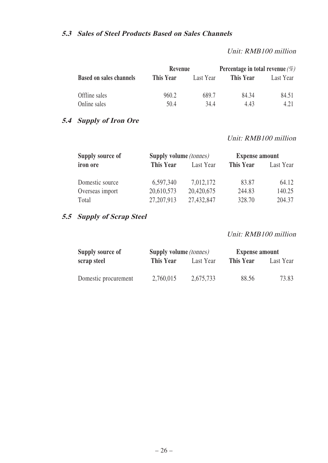## **5.3 Sales of Steel Products Based on Sales Channels**

Unit: RMB100 million

|                                | Revenue   |           | Percentage in total revenue $(\%)$ |           |  |
|--------------------------------|-----------|-----------|------------------------------------|-----------|--|
| <b>Based on sales channels</b> | This Year | Last Year | This Year                          | Last Year |  |
| Offline sales                  | 960.2     | 689.7     | 84.34                              | 84.51     |  |
| Online sales                   | 50.4      | 34.4      | 4.43                               | 4.21      |  |

# **5.4 Supply of Iron Ore**

#### Unit: RMB100 million

| <b>Supply source of</b> | Supply volume (tonnes) |            | <b>Expense amount</b> |           |  |
|-------------------------|------------------------|------------|-----------------------|-----------|--|
| iron ore                | <b>This Year</b>       | Last Year  | This Year             | Last Year |  |
| Domestic source         | 6,597,340              | 7,012,172  | 83.87                 | 64.12     |  |
| Overseas import         | 20,610,573             | 20,420,675 | 244.83                | 140.25    |  |
| Total                   | 27, 207, 913           | 27,432,847 | 328.70                | 204.37    |  |

# **5.5 Supply of Scrap Steel**

#### Unit: RMB100 million

| Supply source of     | Supply volume <i>(tonnes)</i> |           | <b>Expense amount</b> |           |  |
|----------------------|-------------------------------|-----------|-----------------------|-----------|--|
| scrap steel          | This Year                     | Last Year | This Year             | Last Year |  |
| Domestic procurement | 2,760,015                     | 2,675,733 | 88.56                 | 73.83     |  |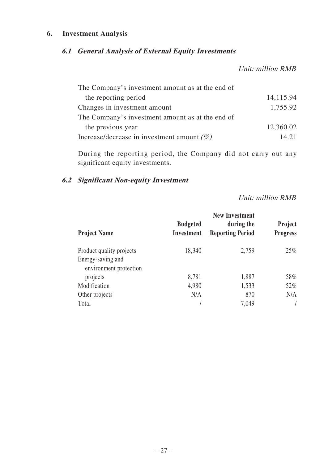## **6. Investment Analysis**

# **6.1 General Analysis of External Equity Investments**

Unit: million RMB

| The Company's investment amount as at the end of |           |
|--------------------------------------------------|-----------|
| the reporting period                             | 14,115.94 |
| Changes in investment amount                     | 1,755.92  |
| The Company's investment amount as at the end of |           |
| the previous year                                | 12,360.02 |
| Increase/decrease in investment amount $(\%)$    | 14.21     |

During the reporting period, the Company did not carry out any significant equity investments.

# **6.2 Significant Non-equity Investment**

Unit: million RMB

|                                                                         |                                      | <b>New Investment</b>                 |                                   |
|-------------------------------------------------------------------------|--------------------------------------|---------------------------------------|-----------------------------------|
| <b>Project Name</b>                                                     | <b>Budgeted</b><br><b>Investment</b> | during the<br><b>Reporting Period</b> | <b>Project</b><br><b>Progress</b> |
| Product quality projects<br>Energy-saving and<br>environment protection | 18,340                               | 2,759                                 | $25\%$                            |
| projects                                                                | 8,781                                | 1,887                                 | 58%                               |
| Modification                                                            | 4,980                                | 1,533                                 | 52%                               |
| Other projects                                                          | N/A                                  | 870                                   | N/A                               |
| Total                                                                   |                                      | 7,049                                 |                                   |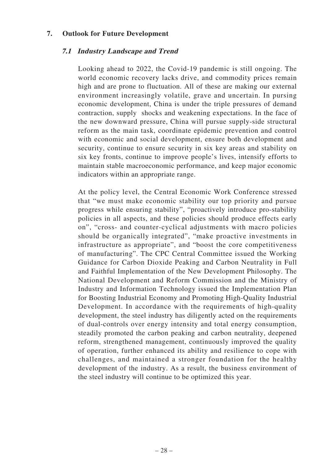#### **7. Outlook for Future Development**

#### **7.1 Industry Landscape and Trend**

Looking ahead to 2022, the Covid-19 pandemic is still ongoing. The world economic recovery lacks drive, and commodity prices remain high and are prone to fluctuation. All of these are making our external environment increasingly volatile, grave and uncertain. In pursing economic development, China is under the triple pressures of demand contraction, supply shocks and weakening expectations. In the face of the new downward pressure, China will pursue supply-side structural reform as the main task, coordinate epidemic prevention and control with economic and social development, ensure both development and security, continue to ensure security in six key areas and stability on six key fronts, continue to improve people's lives, intensify efforts to maintain stable macroeconomic performance, and keep major economic indicators within an appropriate range.

At the policy level, the Central Economic Work Conference stressed that "we must make economic stability our top priority and pursue progress while ensuring stability", "proactively introduce pro-stability policies in all aspects, and these policies should produce effects early on", "cross- and counter-cyclical adjustments with macro policies should be organically integrated", "make proactive investments in infrastructure as appropriate", and "boost the core competitiveness of manufacturing". The CPC Central Committee issued the Working Guidance for Carbon Dioxide Peaking and Carbon Neutrality in Full and Faithful Implementation of the New Development Philosophy. The National Development and Reform Commission and the Ministry of Industry and Information Technology issued the Implementation Plan for Boosting Industrial Economy and Promoting High-Quality Industrial Development. In accordance with the requirements of high-quality development, the steel industry has diligently acted on the requirements of dual-controls over energy intensity and total energy consumption, steadily promoted the carbon peaking and carbon neutrality, deepened reform, strengthened management, continuously improved the quality of operation, further enhanced its ability and resilience to cope with challenges, and maintained a stronger foundation for the healthy development of the industry. As a result, the business environment of the steel industry will continue to be optimized this year.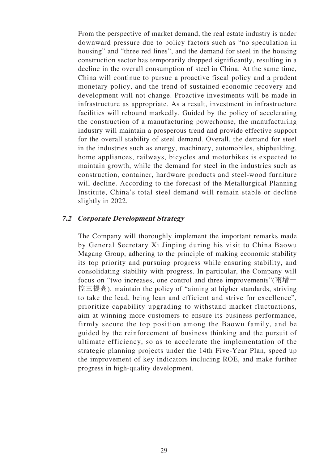From the perspective of market demand, the real estate industry is under downward pressure due to policy factors such as "no speculation in housing" and "three red lines", and the demand for steel in the housing construction sector has temporarily dropped significantly, resulting in a decline in the overall consumption of steel in China. At the same time, China will continue to pursue a proactive fiscal policy and a prudent monetary policy, and the trend of sustained economic recovery and development will not change. Proactive investments will be made in infrastructure as appropriate. As a result, investment in infrastructure facilities will rebound markedly. Guided by the policy of accelerating the construction of a manufacturing powerhouse, the manufacturing industry will maintain a prosperous trend and provide effective support for the overall stability of steel demand. Overall, the demand for steel in the industries such as energy, machinery, automobiles, shipbuilding, home appliances, railways, bicycles and motorbikes is expected to maintain growth, while the demand for steel in the industries such as construction, container, hardware products and steel-wood furniture will decline. According to the forecast of the Metallurgical Planning Institute, China's total steel demand will remain stable or decline slightly in 2022.

## **7.2 Corporate Development Strategy**

The Company will thoroughly implement the important remarks made by General Secretary Xi Jinping during his visit to China Baowu Magang Group, adhering to the principle of making economic stability its top priority and pursuing progress while ensuring stability, and consolidating stability with progress. In particular, the Company will focus on "two increases, one control and three improvements"( $\overline{m}$ 增一 控三提高), maintain the policy of "aiming at higher standards, striving to take the lead, being lean and efficient and strive for excellence", prioritize capability upgrading to withstand market fluctuations, aim at winning more customers to ensure its business performance, firmly secure the top position among the Baowu family, and be guided by the reinforcement of business thinking and the pursuit of ultimate efficiency, so as to accelerate the implementation of the strategic planning projects under the 14th Five-Year Plan, speed up the improvement of key indicators including ROE, and make further progress in high-quality development.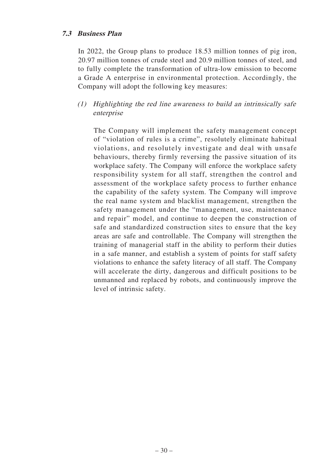## **7.3 Business Plan**

In 2022, the Group plans to produce 18.53 million tonnes of pig iron, 20.97 million tonnes of crude steel and 20.9 million tonnes of steel, and to fully complete the transformation of ultra-low emission to become a Grade A enterprise in environmental protection. Accordingly, the Company will adopt the following key measures:

# (1) Highlighting the red line awareness to build an intrinsically safe enterprise

The Company will implement the safety management concept of "violation of rules is a crime", resolutely eliminate habitual violations, and resolutely investigate and deal with unsafe behaviours, thereby firmly reversing the passive situation of its workplace safety. The Company will enforce the workplace safety responsibility system for all staff, strengthen the control and assessment of the workplace safety process to further enhance the capability of the safety system. The Company will improve the real name system and blacklist management, strengthen the safety management under the "management, use, maintenance and repair" model, and continue to deepen the construction of safe and standardized construction sites to ensure that the key areas are safe and controllable. The Company will strengthen the training of managerial staff in the ability to perform their duties in a safe manner, and establish a system of points for staff safety violations to enhance the safety literacy of all staff. The Company will accelerate the dirty, dangerous and difficult positions to be unmanned and replaced by robots, and continuously improve the level of intrinsic safety.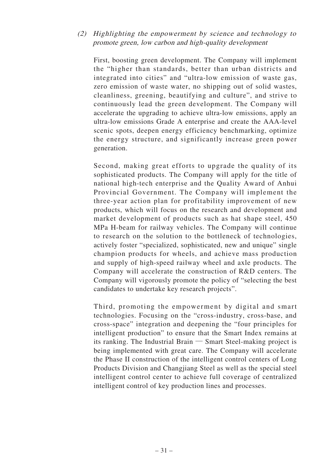# (2) Highlighting the empowerment by science and technology to promote green, low carbon and high-quality development

First, boosting green development. The Company will implement the "higher than standards, better than urban districts and integrated into cities" and "ultra-low emission of waste gas, zero emission of waste water, no shipping out of solid wastes, cleanliness, greening, beautifying and culture", and strive to continuously lead the green development. The Company will accelerate the upgrading to achieve ultra-low emissions, apply an ultra-low emissions Grade A enterprise and create the AAA-level scenic spots, deepen energy efficiency benchmarking, optimize the energy structure, and significantly increase green power generation.

Second, making great efforts to upgrade the quality of its sophisticated products. The Company will apply for the title of national high-tech enterprise and the Quality Award of Anhui Provincial Government. The Company will implement the three-year action plan for profitability improvement of new products, which will focus on the research and development and market development of products such as hat shape steel, 450 MPa H-beam for railway vehicles. The Company will continue to research on the solution to the bottleneck of technologies, actively foster "specialized, sophisticated, new and unique" single champion products for wheels, and achieve mass production and supply of high-speed railway wheel and axle products. The Company will accelerate the construction of R&D centers. The Company will vigorously promote the policy of "selecting the best candidates to undertake key research projects".

Third, promoting the empowerment by digital and smart technologies. Focusing on the "cross-industry, cross-base, and cross-space" integration and deepening the "four principles for intelligent production" to ensure that the Smart Index remains at its ranking. The Industrial Brain — Smart Steel-making project is being implemented with great care. The Company will accelerate the Phase II construction of the intelligent control centers of Long Products Division and Changjiang Steel as well as the special steel intelligent control center to achieve full coverage of centralized intelligent control of key production lines and processes.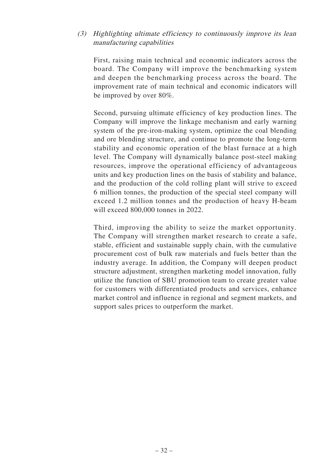# (3) Highlighting ultimate efficiency to continuously improve its lean manufacturing capabilities

First, raising main technical and economic indicators across the board. The Company will improve the benchmarking system and deepen the benchmarking process across the board. The improvement rate of main technical and economic indicators will be improved by over 80%.

Second, pursuing ultimate efficiency of key production lines. The Company will improve the linkage mechanism and early warning system of the pre-iron-making system, optimize the coal blending and ore blending structure, and continue to promote the long-term stability and economic operation of the blast furnace at a high level. The Company will dynamically balance post-steel making resources, improve the operational efficiency of advantageous units and key production lines on the basis of stability and balance, and the production of the cold rolling plant will strive to exceed 6 million tonnes, the production of the special steel company will exceed 1.2 million tonnes and the production of heavy H-beam will exceed 800,000 tonnes in 2022.

Third, improving the ability to seize the market opportunity. The Company will strengthen market research to create a safe, stable, efficient and sustainable supply chain, with the cumulative procurement cost of bulk raw materials and fuels better than the industry average. In addition, the Company will deepen product structure adjustment, strengthen marketing model innovation, fully utilize the function of SBU promotion team to create greater value for customers with differentiated products and services, enhance market control and influence in regional and segment markets, and support sales prices to outperform the market.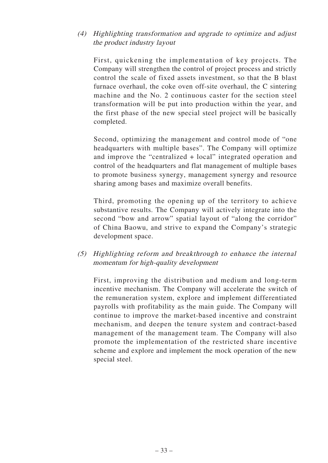# (4) Highlighting transformation and upgrade to optimize and adjust the product industry layout

First, quickening the implementation of key projects. The Company will strengthen the control of project process and strictly control the scale of fixed assets investment, so that the B blast furnace overhaul, the coke oven off-site overhaul, the C sintering machine and the No. 2 continuous caster for the section steel transformation will be put into production within the year, and the first phase of the new special steel project will be basically completed.

Second, optimizing the management and control mode of "one headquarters with multiple bases". The Company will optimize and improve the "centralized + local" integrated operation and control of the headquarters and flat management of multiple bases to promote business synergy, management synergy and resource sharing among bases and maximize overall benefits.

Third, promoting the opening up of the territory to achieve substantive results. The Company will actively integrate into the second "bow and arrow" spatial layout of "along the corridor" of China Baowu, and strive to expand the Company's strategic development space.

(5) Highlighting reform and breakthrough to enhance the internal momentum for high-quality development

First, improving the distribution and medium and long-term incentive mechanism. The Company will accelerate the switch of the remuneration system, explore and implement differentiated payrolls with profitability as the main guide. The Company will continue to improve the market-based incentive and constraint mechanism, and deepen the tenure system and contract-based management of the management team. The Company will also promote the implementation of the restricted share incentive scheme and explore and implement the mock operation of the new special steel.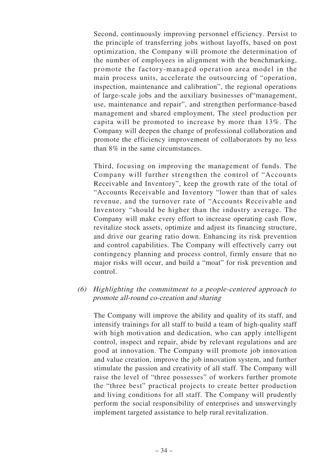Second, continuously improving personnel efficiency. Persist to the principle of transferring jobs without layoffs, based on post optimization, the Company will promote the determination of the number of employees in alignment with the benchmarking, promote the factory-managed operation area model in the main process units, accelerate the outsourcing of "operation, inspection, maintenance and calibration", the regional operations of large-scale jobs and the auxiliary businesses of"management, use, maintenance and repair", and strengthen performance-based management and shared employment, The steel production per capita will be promoted to increase by more than 13%. The Company will deepen the change of professional collaboration and promote the efficiency improvement of collaborators by no less than 8% in the same circumstances.

Third, focusing on improving the management of funds. The Company will further strengthen the control of "Accounts Receivable and Inventory", keep the growth rate of the total of "Accounts Receivable and Inventory "lower than that of sales revenue, and the turnover rate of "Accounts Receivable and Inventory "should be higher than the industry average. The Company will make every effort to increase operating cash flow, revitalize stock assets, optimize and adjust its financing structure, and drive our gearing ratio down. Enhancing its risk prevention and control capabilities. The Company will effectively carry out contingency planning and process control, firmly ensure that no major risks will occur, and build a "moat" for risk prevention and control.

## (6) Highlighting the commitment to a people-centered approach to promote all-round co-creation and sharing

The Company will improve the ability and quality of its staff, and intensify trainings for all staff to build a team of high-quality staff with high motivation and dedication, who can apply intelligent control, inspect and repair, abide by relevant regulations and are good at innovation. The Company will promote job innovation and value creation, improve the job innovation system, and further stimulate the passion and creativity of all staff. The Company will raise the level of "three possesses" of workers further promote the "three best" practical projects to create better production and living conditions for all staff. The Company will prudently perform the social responsibility of enterprises and unswervingly implement targeted assistance to help rural revitalization.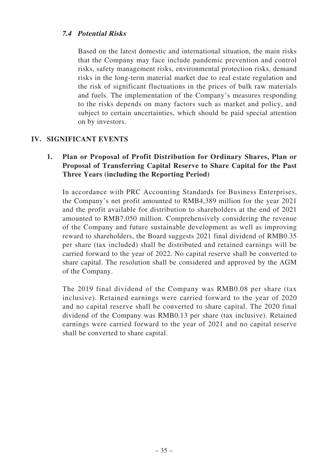# **7.4 Potential Risks**

Based on the latest domestic and international situation, the main risks that the Company may face include pandemic prevention and control risks, safety management risks, environmental protection risks, demand risks in the long-term material market due to real estate regulation and the risk of significant fluctuations in the prices of bulk raw materials and fuels. The implementation of the Company's measures responding to the risks depends on many factors such as market and policy, and subject to certain uncertainties, which should be paid special attention on by investors.

# **IV. SIGNIFICANT EVENTS**

# **1. Plan or Proposal of Profit Distribution for Ordinary Shares, Plan or Proposal of Transferring Capital Reserve to Share Capital for the Past Three Years (including the Reporting Period)**

In accordance with PRC Accounting Standards for Business Enterprises, the Company's net profit amounted to RMB4,389 million for the year 2021 and the profit available for distribution to shareholders at the end of 2021 amounted to RMB7,050 million. Comprehensively considering the revenue of the Company and future sustainable development as well as improving reward to shareholders, the Board suggests 2021 final dividend of RMB0.35 per share (tax included) shall be distributed and retained earnings will be carried forward to the year of 2022. No capital reserve shall be converted to share capital. The resolution shall be considered and approved by the AGM of the Company.

The 2019 final dividend of the Company was RMB0.08 per share (tax inclusive). Retained earnings were carried forward to the year of 2020 and no capital reserve shall be converted to share capital. The 2020 final dividend of the Company was RMB0.13 per share (tax inclusive). Retained earnings were carried forward to the year of 2021 and no capital reserve shall be converted to share capital.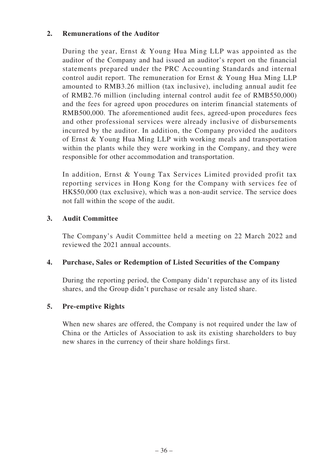## **2. Remunerations of the Auditor**

During the year, Ernst & Young Hua Ming LLP was appointed as the auditor of the Company and had issued an auditor's report on the financial statements prepared under the PRC Accounting Standards and internal control audit report. The remuneration for Ernst & Young Hua Ming LLP amounted to RMB3.26 million (tax inclusive), including annual audit fee of RMB2.76 million (including internal control audit fee of RMB550,000) and the fees for agreed upon procedures on interim financial statements of RMB500,000. The aforementioned audit fees, agreed-upon procedures fees and other professional services were already inclusive of disbursements incurred by the auditor. In addition, the Company provided the auditors of Ernst & Young Hua Ming LLP with working meals and transportation within the plants while they were working in the Company, and they were responsible for other accommodation and transportation.

In addition, Ernst & Young Tax Services Limited provided profit tax reporting services in Hong Kong for the Company with services fee of HK\$50,000 (tax exclusive), which was a non-audit service. The service does not fall within the scope of the audit.

# **3. Audit Committee**

The Company's Audit Committee held a meeting on 22 March 2022 and reviewed the 2021 annual accounts.

## **4. Purchase, Sales or Redemption of Listed Securities of the Company**

During the reporting period, the Company didn't repurchase any of its listed shares, and the Group didn't purchase or resale any listed share.

# **5. Pre-emptive Rights**

When new shares are offered, the Company is not required under the law of China or the Articles of Association to ask its existing shareholders to buy new shares in the currency of their share holdings first.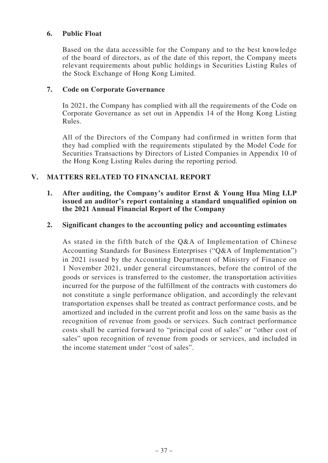#### **6. Public Float**

Based on the data accessible for the Company and to the best knowledge of the board of directors, as of the date of this report, the Company meets relevant requirements about public holdings in Securities Listing Rules of the Stock Exchange of Hong Kong Limited.

#### **7. Code on Corporate Governance**

In 2021, the Company has complied with all the requirements of the Code on Corporate Governance as set out in Appendix 14 of the Hong Kong Listing Rules.

All of the Directors of the Company had confirmed in written form that they had complied with the requirements stipulated by the Model Code for Securities Transactions by Directors of Listed Companies in Appendix 10 of the Hong Kong Listing Rules during the reporting period.

## **V. MATTERS RELATED TO FINANCIAL REPORT**

#### **1. After auditing, the Company's auditor Ernst & Young Hua Ming LLP issued an auditor's report containing a standard unqualified opinion on the 2021 Annual Financial Report of the Company**

#### **2. Significant changes to the accounting policy and accounting estimates**

As stated in the fifth batch of the Q&A of Implementation of Chinese Accounting Standards for Business Enterprises ("Q&A of Implementation") in 2021 issued by the Accounting Department of Ministry of Finance on 1 November 2021, under general circumstances, before the control of the goods or services is transferred to the customer, the transportation activities incurred for the purpose of the fulfillment of the contracts with customers do not constitute a single performance obligation, and accordingly the relevant transportation expenses shall be treated as contract performance costs, and be amortized and included in the current profit and loss on the same basis as the recognition of revenue from goods or services. Such contract performance costs shall be carried forward to "principal cost of sales" or "other cost of sales" upon recognition of revenue from goods or services, and included in the income statement under "cost of sales".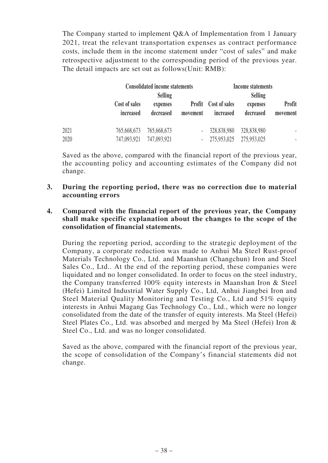The Company started to implement Q&A of Implementation from 1 January 2021, treat the relevant transportation expenses as contract performance costs, include them in the income statement under "cost of sales" and make retrospective adjustment to the corresponding period of the previous year. The detail impacts are set out as follows(Unit: RMB):

|      |                            | <b>Consolidated income statements</b> |                          | <b>Income statements</b>                 |                       |                    |  |
|------|----------------------------|---------------------------------------|--------------------------|------------------------------------------|-----------------------|--------------------|--|
|      |                            | <b>Selling</b>                        |                          |                                          | <b>Selling</b>        |                    |  |
|      | Cost of sales<br>increased | expenses<br>decreased                 | movement                 | <b>Profit</b> Cost of sales<br>increased | expenses<br>decreased | Profit<br>movement |  |
| 2021 | 765,668,673                | 765,668,673                           | $\overline{\phantom{a}}$ | 328,838,980                              | 328,838,980           |                    |  |
| 2020 | 747,093,921                | 747,093,921                           | $\overline{\phantom{a}}$ | 275,953,025                              | 275,953,025           |                    |  |

Saved as the above, compared with the financial report of the previous year, the accounting policy and accounting estimates of the Company did not change.

#### **3. During the reporting period, there was no correction due to material accounting errors**

#### **4. Compared with the financial report of the previous year, the Company shall make specific explanation about the changes to the scope of the consolidation of financial statements.**

During the reporting period, according to the strategic deployment of the Company, a corporate reduction was made to Anhui Ma Steel Rust-proof Materials Technology Co., Ltd. and Maanshan (Changchun) Iron and Steel Sales Co., Ltd.. At the end of the reporting period, these companies were liquidated and no longer consolidated. In order to focus on the steel industry, the Company transferred 100% equity interests in Maanshan Iron & Steel (Hefei) Limited Industrial Water Supply Co., Ltd, Anhui Jiangbei Iron and Steel Material Quality Monitoring and Testing Co., Ltd and 51% equity interests in Anhui Magang Gas Technology Co., Ltd., which were no longer consolidated from the date of the transfer of equity interests. Ma Steel (Hefei) Steel Plates Co., Ltd. was absorbed and merged by Ma Steel (Hefei) Iron & Steel Co., Ltd. and was no longer consolidated.

Saved as the above, compared with the financial report of the previous year, the scope of consolidation of the Company's financial statements did not change.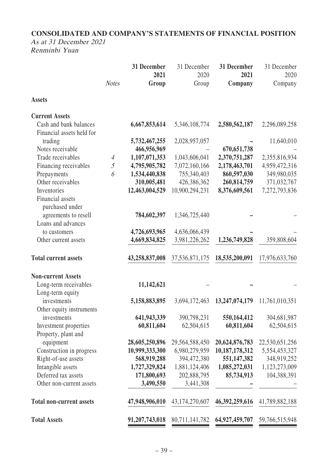# **CONSOLIDATED AND COMPANY'S STATEMENTS OF FINANCIAL POSITION**

As at 31 December 2021 Renminbi Yuan

|                                                     |                | 31 December<br>2021 | 31 December<br>2020 | 31 December<br>2021 | 31 December<br>2020 |
|-----------------------------------------------------|----------------|---------------------|---------------------|---------------------|---------------------|
|                                                     | <b>Notes</b>   | Group               | Group               | Company             | Company             |
| <b>Assets</b>                                       |                |                     |                     |                     |                     |
| <b>Current Assets</b>                               |                |                     |                     |                     |                     |
| Cash and bank balances<br>Financial assets held for |                | 6,667,853,614       | 5,346,108,774       | 2,580,562,187       | 2,296,089,258       |
| trading                                             |                | 5,732,467,255       | 2,028,957,057       |                     | 11,640,010          |
| Notes receivable                                    |                | 466,956,969         |                     | 670, 651, 738       |                     |
| Trade receivables                                   | $\overline{4}$ | 1,107,071,353       | 1,043,606,041       | 2,370,751,287       | 2,355,816,934       |
| Financing receivables                               | $\mathfrak{H}$ | 4,795,905,782       | 7,072,160,166       | 2,178,463,701       | 4,959,472,316       |
| Prepayments                                         | 6              | 1,534,440,838       | 755,340,403         | 860,597,030         | 349,980,035         |
| Other receivables                                   |                | 310,005,481         | 426,386,362         | 260,814,759         | 371,032,767         |
| Inventories                                         |                | 12,463,004,529      | 10,900,294,231      | 8,376,609,561       | 7,272,793,836       |
| Financial assets                                    |                |                     |                     |                     |                     |
| purchased under                                     |                |                     |                     |                     |                     |
| agreements to resell                                |                | 784,602,397         | 1,346,725,440       |                     |                     |
| Loans and advances                                  |                |                     |                     |                     |                     |
| to customers                                        |                | 4,726,693,965       | 4,636,066,439       |                     |                     |
| Other current assets                                |                | 4,669,834,825       | 3,981,226,262       | 1,236,749,828       | 359,808,604         |
| <b>Total current assets</b>                         |                | 43,258,837,008      | 37,536,871,175      | 18,535,200,091      | 17,976,633,760      |
| <b>Non-current Assets</b>                           |                |                     |                     |                     |                     |
| Long-term receivables                               |                | 11,142,621          |                     |                     |                     |
| Long-term equity                                    |                |                     |                     |                     |                     |
| investments                                         |                | 5,158,883,895       | 3,694,172,463       | 13,247,074,179      | 11,761,010,351      |
| Other equity instruments                            |                |                     |                     |                     |                     |
| investments                                         |                | 641,943,339         | 390,798,231         | 550,164,412         | 304,681,987         |
| Investment properties                               |                | 60,811,604          | 62,504,615          | 60,811,604          | 62,504,615          |
| Property, plant and                                 |                |                     |                     |                     |                     |
| equipment                                           |                | 28,605,250,896      | 29,564,588,450      | 20,624,876,783      | 22,530,651,256      |
| Construction in progress                            |                | 10,999,333,300      | 6,980,279,959       | 10,187,178,312      | 5,554,453,327       |
| Right-of-use assets                                 |                | 568,919,288         | 394,472,380         | 551,147,382         | 348,919,252         |
| Intangible assets                                   |                | 1,727,329,824       | 1,881,124,406       | 1,085,272,031       | 1,123,273,009       |
| Deferred tax assets                                 |                | 171,800,693         | 202,888,795         | 85,734,913          | 104,388,391         |
| Other non-current assets                            |                | 3,490,550           | 3,441,308           |                     |                     |
|                                                     |                |                     |                     |                     |                     |
| <b>Total non-current assets</b>                     |                | 47,948,906,010      | 43,174,270,607      | 46, 392, 259, 616   | 41,789,882,188      |
| <b>Total Assets</b>                                 |                | 91,207,743,018      | 80,711,141,782      | 64,927,459,707      | 59,766,515,948      |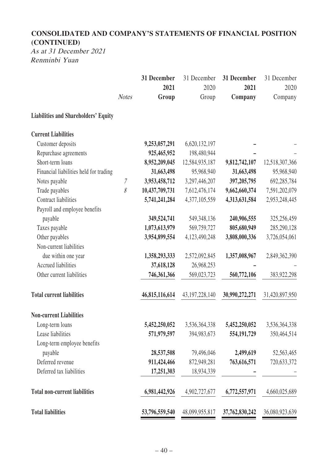# **CONSOLIDATED AND COMPANY'S STATEMENTS OF FINANCIAL POSITION (CONTINUED)**

As at 31 December 2021 Renminbi Yuan

|                                             |              | 31 December    | 31 December       | 31 December    | 31 December    |
|---------------------------------------------|--------------|----------------|-------------------|----------------|----------------|
|                                             |              | 2021           | 2020              | 2021           | 2020           |
|                                             | <b>Notes</b> | Group          | Group             | Company        | Company        |
| <b>Liabilities and Shareholders' Equity</b> |              |                |                   |                |                |
| <b>Current Liabilities</b>                  |              |                |                   |                |                |
| Customer deposits                           |              | 9,253,057,291  | 6,620,132,197     |                |                |
| Repurchase agreements                       |              | 925,465,952    | 198,480,944       |                |                |
| Short-term loans                            |              | 8,952,209,045  | 12,584,935,187    | 9,812,742,107  | 12,518,307,366 |
| Financial liabilities held for trading      |              | 31,663,498     | 95,968,940        | 31,663,498     | 95,968,940     |
| Notes payable                               | $\mathcal I$ | 3,953,458,712  | 3,297,446,207     | 397,205,795    | 692,285,784    |
| Trade payables                              | 8            | 10,437,709,731 | 7,612,476,174     | 9,662,660,374  | 7,591,202,079  |
| <b>Contract liabilities</b>                 |              | 5,741,241,284  | 4,377,105,559     | 4,313,631,584  | 2,953,248,445  |
| Payroll and employee benefits               |              |                |                   |                |                |
| payable                                     |              | 349,524,741    | 549,348,136       | 240,906,555    | 325,256,459    |
| Taxes payable                               |              | 1,073,613,979  | 569,759,727       | 805,680,949    | 285,290,128    |
| Other payables                              |              | 3,954,899,554  | 4,123,490,248     | 3,808,000,336  | 3,726,054,061  |
| Non-current liabilities                     |              |                |                   |                |                |
| due within one year                         |              | 1,358,293,333  | 2,572,092,845     | 1,357,008,967  | 2,849,362,390  |
| Accrued liabilities                         |              | 37,618,128     | 26,968,253        |                |                |
| Other current liabilities                   |              | 746,361,366    | 569,023,723       | 560,772,106    | 383,922,298    |
| <b>Total current liabilities</b>            |              | 46,815,116,614 | 43, 197, 228, 140 | 30,990,272,271 | 31,420,897,950 |
| <b>Non-current Liabilities</b>              |              |                |                   |                |                |
| Long-term loans                             |              | 5,452,250,052  | 3,536,364,338     | 5,452,250,052  | 3,536,364,338  |
| Lease liabilities                           |              | 571,979,597    | 394,983,673       | 554, 191, 729  | 350,464,514    |
| Long-term employee benefits                 |              |                |                   |                |                |
| payable                                     |              | 28,537,508     | 79,496,046        | 2,499,619      | 52,563,465     |
| Deferred revenue                            |              | 911,424,466    | 872,949,281       | 763,616,571    | 720,633,372    |
| Deferred tax liabilities                    |              | 17,251,303     | 18,934,339        |                |                |
| <b>Total non-current liabilities</b>        |              | 6,981,442,926  | 4,902,727,677     | 6,772,557,971  | 4,660,025,689  |
| <b>Total liabilities</b>                    |              | 53,796,559,540 | 48,099,955,817    | 37,762,830,242 | 36,080,923,639 |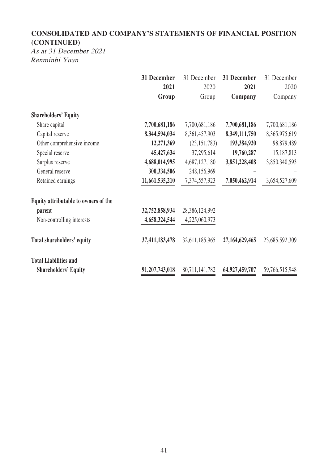# **CONSOLIDATED AND COMPANY'S STATEMENTS OF FINANCIAL POSITION (CONTINUED)**

As at 31 December 2021 Renminbi Yuan

|                                      | 31 December    | 31 December    | 31 December    | 31 December    |
|--------------------------------------|----------------|----------------|----------------|----------------|
|                                      | 2021           | 2020           | 2021           | 2020           |
|                                      | Group          | Group          | Company        | Company        |
| <b>Shareholders' Equity</b>          |                |                |                |                |
| Share capital                        | 7,700,681,186  | 7,700,681,186  | 7,700,681,186  | 7,700,681,186  |
| Capital reserve                      | 8,344,594,034  | 8,361,457,903  | 8,349,111,750  | 8,365,975,619  |
| Other comprehensive income           | 12,271,369     | (23, 151, 783) | 193,384,920    | 98,879,489     |
| Special reserve                      | 45,427,634     | 37,295,614     | 19,760,287     | 15,187,813     |
| Surplus reserve                      | 4,688,014,995  | 4,687,127,180  | 3,851,228,408  | 3,850,340,593  |
| General reserve                      | 300, 334, 506  | 248,156,969    |                |                |
| Retained earnings                    | 11,661,535,210 | 7,374,557,923  | 7,050,462,914  | 3,654,527,609  |
| Equity attributable to owners of the |                |                |                |                |
| parent                               | 32,752,858,934 | 28,386,124,992 |                |                |
| Non-controlling interests            | 4,658,324,544  | 4,225,060,973  |                |                |
| <b>Total shareholders' equity</b>    | 37,411,183,478 | 32,611,185,965 | 27,164,629,465 | 23,685,592,309 |
| <b>Total Liabilities and</b>         |                |                |                |                |
| <b>Shareholders' Equity</b>          | 91,207,743,018 | 80,711,141,782 | 64,927,459,707 | 59,766,515,948 |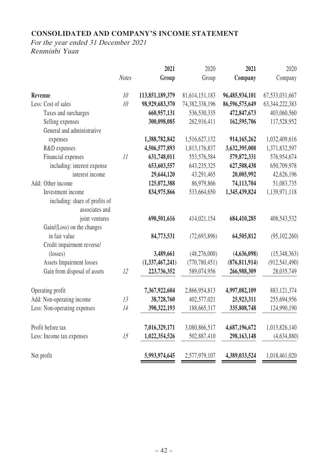# **CONSOLIDATED AND COMPANY'S INCOME STATEMENT**

|                                |              | 2021            | 2020            | 2021            | 2020              |
|--------------------------------|--------------|-----------------|-----------------|-----------------|-------------------|
|                                | <b>Notes</b> | Group           | Group           | Company         | Company           |
| Revenue                        | 10           | 113,851,189,379 | 81,614,151,183  | 96,485,934,101  | 67, 533, 031, 667 |
| Less: Cost of sales            | 10           | 98,929,683,370  | 74,382,338,196  | 86,596,575,649  | 63, 344, 222, 383 |
| Taxes and surcharges           |              | 660,957,131     | 536,530,335     | 472,847,673     | 403,060,560       |
| Selling expenses               |              | 300,098,085     | 262,916,411     | 162,595,706     | 117,528,952       |
| General and administrative     |              |                 |                 |                 |                   |
| expenses                       |              | 1,388,782,842   | 1,516,627,132   | 914,165,262     | 1,032,409,616     |
| R&D expenses                   |              | 4,506,577,893   | 1,813,176,837   | 3,632,395,008   | 1,371,832,597     |
| Financial expenses             | 11           | 631,748,011     | 553,576,584     | 579,872,331     | 576,954,674       |
| including: interest expense    |              | 653,603,557     | 643, 235, 325   | 627,508,438     | 650,709,978       |
| interest income                |              | 29,644,120      | 43,291,465      | 20,005,992      | 42,626,196        |
| Add: Other income              |              | 125,072,388     | 86,979,866      | 74,113,704      | 51,083,735        |
| Investment income              |              | 834,975,866     | 533,664,650     | 1,345,439,824   | 1,139,971,118     |
| including: share of profits of |              |                 |                 |                 |                   |
| associates and                 |              |                 |                 |                 |                   |
| joint ventures                 |              | 690,501,616     | 414,021,154     | 684,410,285     | 408,543,532       |
| Gain/(Loss) on the changes     |              |                 |                 |                 |                   |
| in fair value                  |              | 84,773,531      | (72,693,896)    | 64,505,812      | (95, 102, 260)    |
| Credit impairment reverse/     |              |                 |                 |                 |                   |
| $(\text{losses})$              |              | 3,489,661       | (48,276,000)    | (4,636,098)     | (15,348,363)      |
| Assets Impairment losses       |              | (1,337,467,241) | (770, 780, 451) | (876, 811, 914) | (912, 541, 490)   |
| Gain from disposal of assets   | 12           | 223,736,352     | 589,074,956     | 266,988,309     | 28,035,749        |
| Operating profit               |              | 7,367,922,604   | 2,866,954,813   | 4,997,082,109   | 883, 121, 374     |
| Add: Non-operating income      | 13           | 38,728,760      | 402,577,021     | 25,923,311      | 255,694,956       |
| Less: Non-operating expenses   | 14           | 390, 322, 193   | 188,665,317     | 335,808,748     | 124,990,190       |
|                                |              |                 |                 |                 |                   |
| Profit before tax              |              | 7,016,329,171   | 3,080,866,517   | 4,687,196,672   | 1,013,826,140     |
| Less: Income tax expenses      | 15           | 1,022,354,526   | 502,887,410     | 298,163,148     | (4,634,880)       |
| Net profit                     |              | 5,993,974,645   | 2,577,979,107   | 4,389,033,524   | 1,018,461,020     |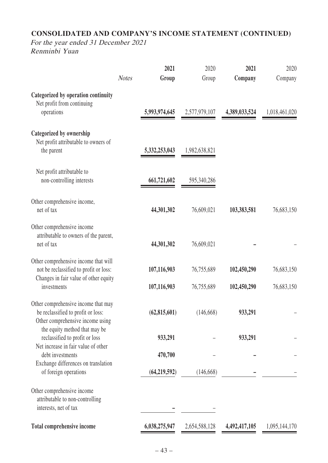# **CONSOLIDATED AND COMPANY'S INCOME STATEMENT (CONTINUED)**

|                                                                                                                         |              | 2021           | 2020          | 2021          | 2020          |
|-------------------------------------------------------------------------------------------------------------------------|--------------|----------------|---------------|---------------|---------------|
|                                                                                                                         | <b>Notes</b> | Group          | Group         | Company       | Company       |
| Categorized by operation continuity                                                                                     |              |                |               |               |               |
| Net profit from continuing<br>operations                                                                                |              | 5,993,974,645  | 2,577,979,107 | 4,389,033,524 | 1,018,461,020 |
| Categorized by ownership<br>Net profit attributable to owners of                                                        |              |                |               |               |               |
| the parent                                                                                                              |              | 5,332,253,043  | 1,982,638,821 |               |               |
| Net profit attributable to<br>non-controlling interests                                                                 |              | 661,721,602    | 595,340,286   |               |               |
| Other comprehensive income,<br>net of tax                                                                               |              | 44,301,302     | 76,609,021    | 103,383,581   | 76,683,150    |
| Other comprehensive income<br>attributable to owners of the parent,<br>net of tax                                       |              | 44,301,302     | 76,609,021    |               |               |
| Other comprehensive income that will<br>not be reclassified to profit or loss:<br>Changes in fair value of other equity |              | 107,116,903    | 76,755,689    | 102,450,290   | 76,683,150    |
| investments                                                                                                             |              | 107,116,903    | 76,755,689    | 102,450,290   | 76,683,150    |
| Other comprehensive income that may<br>be reclassified to profit or loss:<br>Other comprehensive income using           |              | (62, 815, 601) | (146, 668)    | 933,291       |               |
| the equity method that may be<br>reclassified to profit or loss<br>Net increase in fair value of other                  |              | 933,291        |               | 933,291       |               |
| debt investments<br>Exchange differences on translation                                                                 |              | 470,700        |               |               |               |
| of foreign operations                                                                                                   |              | (64, 219, 592) | (146, 668)    |               |               |
| Other comprehensive income<br>attributable to non-controlling                                                           |              |                |               |               |               |
| interests, net of tax                                                                                                   |              |                |               |               |               |
| Total comprehensive income                                                                                              |              | 6,038,275,947  | 2,654,588,128 | 4,492,417,105 | 1,095,144,170 |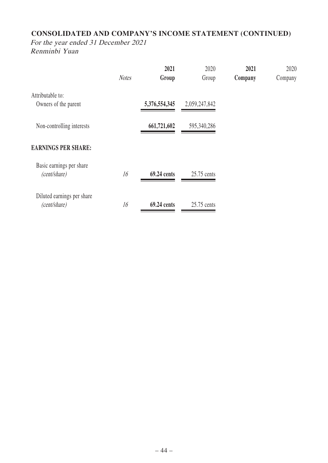# **CONSOLIDATED AND COMPANY'S INCOME STATEMENT (CONTINUED)**

|                                            | <b>Notes</b> | 2021<br>Group | 2020<br>Group | 2021<br>Company | 2020<br>Company |
|--------------------------------------------|--------------|---------------|---------------|-----------------|-----------------|
| Attributable to:<br>Owners of the parent   |              | 5,376,554,345 | 2,059,247,842 |                 |                 |
| Non-controlling interests                  |              | 661,721,602   | 595,340,286   |                 |                 |
| <b>EARNINGS PER SHARE:</b>                 |              |               |               |                 |                 |
| Basic earnings per share<br>(cent/share)   | 16           | 69.24 cents   | 25.75 cents   |                 |                 |
| Diluted earnings per share<br>(cent/share) | 16           | 69.24 cents   | 25.75 cents   |                 |                 |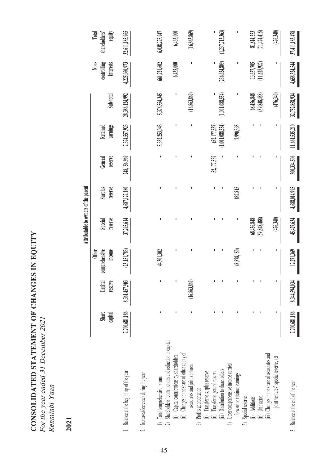| CONSOLIDATED STATEMENT OF CHANGES IN EQUITY |
|---------------------------------------------|
| For the year ended 31 December 2021         |
| Renminbi Yuan                               |
|                                             |

# **2021**

|                                                                                                                     |                  |                    |                                         | Attributable to owners of the parent |                    |                    |                      |                 |                                  |                                  |
|---------------------------------------------------------------------------------------------------------------------|------------------|--------------------|-----------------------------------------|--------------------------------------|--------------------|--------------------|----------------------|-----------------|----------------------------------|----------------------------------|
|                                                                                                                     | Share<br>capital | reserve<br>Capital | comprehensive<br>income<br><b>Other</b> | reserve<br>Special                   | Surplus<br>reserve | reserve<br>General | earnings<br>Retained | Sub-total       | controlling<br>interests<br>Non- | equity<br>Total<br>shareholders' |
| 1. Balance at the beginning of the year                                                                             | 7,700,681,186    | 8,361,457,903      | (23, 151, 783)                          | 37,295,614                           | 4,687,127,180      | 248,156,969        | 7,374,557,923        | 28,386,124,992  | 4,225,060,973                    | 32,611,185,965                   |
| 2. Increase/(decrease) during the year                                                                              |                  |                    |                                         |                                      |                    |                    |                      |                 |                                  |                                  |
| 1) Total comprehensive income                                                                                       |                  | ı                  | 44,301,302                              | ı                                    |                    |                    | 5,332,253,043        | 5,376,554,345   | 661,721,602                      | 6,038,275,947                    |
| Shareholders' contributions and reduction in capital<br>(i) Capital contributions by shareholders<br>$\overline{c}$ |                  | J,                 | I,                                      | I,                                   |                    | ı                  | ı                    | I,              | 6,435,000                        | 6,435,000                        |
| (ii) Changes in the share of other equity of<br>associates and joint ventures<br>3) Profits appropriation           |                  | (16,863,869)       | J.                                      | ı                                    |                    |                    |                      | (16, 863, 869)  | ٠                                | (16,863,869)                     |
| (i) Transfer to surplus reserve<br>(ii) Transfer to general reserve                                                 |                  |                    | ı                                       | ı                                    |                    | 52,177,537         | (52,177,537)         |                 |                                  |                                  |
| Other comprehensive income carried<br>(iii) Distribution to shareholders<br>$\overline{+}$                          |                  |                    | I                                       |                                      |                    |                    | 1,001,088,554)       | (1,001,088,554) | (236, 624, 809)                  | (1, 237, 713, 363)               |
| forward to retained earnings                                                                                        |                  |                    | (8,878,150)                             | I                                    | 887,815            |                    | 7,990,335            | ı               | I                                | I                                |
| 5) Special reserve<br>Additions                                                                                     |                  |                    |                                         | 68,456,848                           |                    |                    |                      | 68,456,848      | 13,357,705                       | 81,814,553                       |
| (iii) Changes in the share of associates and<br>Utilisation                                                         |                  |                    |                                         | (59, 848, 488)                       |                    |                    |                      | (59, 848, 488)  | (11,625,927)                     | (71,474,415)                     |
| joint ventures' special reserve, net                                                                                |                  |                    | I                                       | (476,340)                            |                    |                    |                      | (476,340)       |                                  | (476,340)                        |
| Balance at the end of the year<br>$\tilde{\mathfrak{c}}$                                                            | 7,700,681,186    | 8,344,594,034      | 12,271,369                              | 45,427,634                           | 4,688,014,995      | 300,334,506        | 11,661,535,210       | 32,752,858,934  | 4,658,324,544                    | 37,411,183,478                   |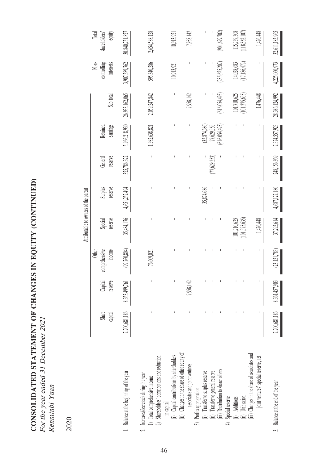CONSOLIDATED STATEMENT OF CHANGES IN EQUITY (CONTINUED) **CONSOLIDATED STATEMENT OF CHANGES IN EQUITY (CONTINUED)** For the year ended 31 December 2021 For the year ended 31 December 2021 Renninbi Yuan Renminbi Yuan

2020

|                                                                                                                         |                  |                             |                                         | Attributable to owners of the parent |                    |                                                                                                                                                                                                                                                                                                                                                                                  |                             |                 |                                  |                                  |
|-------------------------------------------------------------------------------------------------------------------------|------------------|-----------------------------|-----------------------------------------|--------------------------------------|--------------------|----------------------------------------------------------------------------------------------------------------------------------------------------------------------------------------------------------------------------------------------------------------------------------------------------------------------------------------------------------------------------------|-----------------------------|-----------------|----------------------------------|----------------------------------|
|                                                                                                                         | Share<br>capital | reserve<br>Capital          | comprehensive<br>income<br><b>Other</b> | reserve<br>Special                   | reserve<br>Surplus | reserve<br>General                                                                                                                                                                                                                                                                                                                                                               | earnings<br>Retained        | Sub-total       | interests<br>controlling<br>Non- | Total<br>equity<br>shareholders' |
| 1. Balance at the beginning of the year                                                                                 | 7,700,681,186    | 8,353,499,761               | (99,760,804)                            | 35,484,176                           | 4,651,252,494      | 325,786,322                                                                                                                                                                                                                                                                                                                                                                      | 5,966,218,930               | 26,933,162,065  | 3,907,589,762                    | 30,840,751,827                   |
| 2) Shareholders' contributions and reduction<br>2. Increase/(decrease) during the year<br>1) Total comprehensive income | Ï                | I                           | 76,609,021                              |                                      |                    | $\begin{array}{c} \rule{0pt}{2.5ex} \rule{0pt}{2.5ex} \rule{0pt}{2.5ex} \rule{0pt}{2.5ex} \rule{0pt}{2.5ex} \rule{0pt}{2.5ex} \rule{0pt}{2.5ex} \rule{0pt}{2.5ex} \rule{0pt}{2.5ex} \rule{0pt}{2.5ex} \rule{0pt}{2.5ex} \rule{0pt}{2.5ex} \rule{0pt}{2.5ex} \rule{0pt}{2.5ex} \rule{0pt}{2.5ex} \rule{0pt}{2.5ex} \rule{0pt}{2.5ex} \rule{0pt}{2.5ex} \rule{0pt}{2.5ex} \rule{0$ | ,982,638,821                | 2,059,247,842   | 595,340,286                      | 2,654,588,128                    |
| (i) Capital contributions by shareholders<br>in capital                                                                 |                  | I                           |                                         |                                      |                    |                                                                                                                                                                                                                                                                                                                                                                                  |                             |                 | 10,913,921                       | 10,913,921                       |
| (ii) Changes in the share of other equity of<br>associates and joint ventures                                           |                  | 7,958,142                   |                                         |                                      |                    |                                                                                                                                                                                                                                                                                                                                                                                  |                             | 7,958,142       |                                  | 7,958,142                        |
| (i) Transfer to surplus reserve<br>3) Profits appropriation                                                             |                  |                             |                                         |                                      | 35,874,686         |                                                                                                                                                                                                                                                                                                                                                                                  | (35,874,686)                |                 |                                  |                                  |
| (iii) Distribution to shareholders<br>(ii) Transfer to general reserve                                                  |                  |                             | I<br>ı                                  |                                      |                    | 77,629,353)<br>I                                                                                                                                                                                                                                                                                                                                                                 | (616,054,495)<br>77,629,353 | (616, 054, 495) | 285,625,207)                     | (901,679,702)                    |
| 4) Special reserve<br>Additions                                                                                         |                  |                             |                                         | 101,710,625                          |                    |                                                                                                                                                                                                                                                                                                                                                                                  |                             | 101,710,625     | 14,028,683                       | 115,739,308                      |
| (ii) Utilisation                                                                                                        |                  |                             |                                         | 101,375,635                          |                    |                                                                                                                                                                                                                                                                                                                                                                                  |                             | (101, 375, 635) | (17, 186, 472)                   | (118,562,107)                    |
| (iii) Changes in the share of associates and<br>joint ventures' special reserve, net                                    |                  |                             | ı                                       | 1,476,448                            |                    |                                                                                                                                                                                                                                                                                                                                                                                  | I                           | 1,476,448       |                                  | 1,476,448                        |
| 3. Balance at the end of the year                                                                                       |                  | 7,700,681,186 8,361,457,903 | (23, 151, 783)                          | 37,295,614                           | 4,687,127,180      | 248,156,969                                                                                                                                                                                                                                                                                                                                                                      | 7,374,557,923               | 28,386,124,992  | 4,225,060,973                    | 32,611,185,965                   |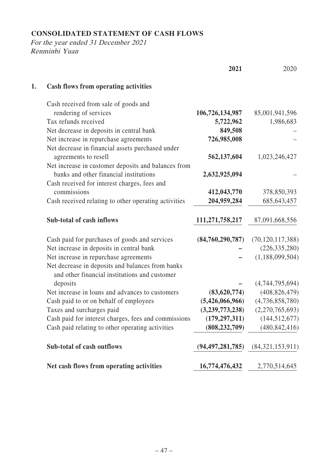# **CONSOLIDATED STATEMENT OF CASH FLOWS**

|    |                                                                                                   | 2021                | 2020                |
|----|---------------------------------------------------------------------------------------------------|---------------------|---------------------|
| 1. | <b>Cash flows from operating activities</b>                                                       |                     |                     |
|    | Cash received from sale of goods and                                                              |                     |                     |
|    | rendering of services                                                                             | 106,726,134,987     | 85,001,941,596      |
|    | Tax refunds received                                                                              | 5,722,962           | 1,986,683           |
|    | Net decrease in deposits in central bank                                                          | 849,508             |                     |
|    | Net increase in repurchase agreements                                                             | 726,985,008         |                     |
|    | Net decrease in financial assets purchased under                                                  |                     |                     |
|    | agreements to resell                                                                              | 562,137,604         | 1,023,246,427       |
|    | Net increase in customer deposits and balances from                                               |                     |                     |
|    | banks and other financial institutions                                                            | 2,632,925,094       |                     |
|    | Cash received for interest charges, fees and                                                      |                     |                     |
|    | commissions                                                                                       | 412,043,770         | 378,850,393         |
|    | Cash received relating to other operating activities                                              | 204,959,284         | 685, 643, 457       |
|    | Sub-total of cash inflows                                                                         | 111,271,758,217     | 87,091,668,556      |
|    | Cash paid for purchases of goods and services                                                     | (84,760,290,787)    | (70, 120, 117, 388) |
|    | Net increase in deposits in central bank                                                          |                     | (226, 335, 280)     |
|    | Net increase in repurchase agreements                                                             |                     | (1,188,099,504)     |
|    | Net decrease in deposits and balances from banks<br>and other financial institutions and customer |                     |                     |
|    | deposits                                                                                          |                     | (4,744,795,694)     |
|    | Net increase in loans and advances to customers                                                   | (83,620,774)        | (408, 826, 479)     |
|    | Cash paid to or on behalf of employees                                                            | (5,426,066,966)     | (4,736,858,780)     |
|    | Taxes and surcharges paid                                                                         | (3,239,773,238)     | (2,270,765,693)     |
|    | Cash paid for interest charges, fees and commissions                                              | (179, 297, 311)     | (144, 512, 677)     |
|    | Cash paid relating to other operating activities                                                  | (808, 232, 709)     | (480, 842, 416)     |
|    | Sub-total of cash outflows                                                                        | (94, 497, 281, 785) | (84,321,153,911)    |
|    | Net cash flows from operating activities                                                          | 16,774,476,432      | 2,770,514,645       |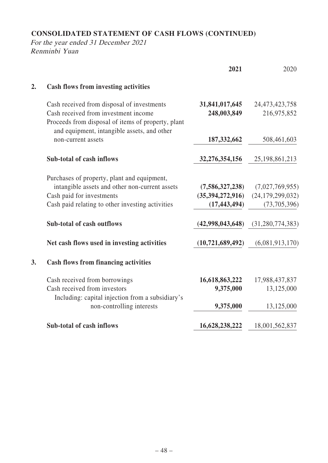# **CONSOLIDATED STATEMENT OF CASH FLOWS (CONTINUED)**

|    |                                                                                                                                           | 2021                | 2020                |
|----|-------------------------------------------------------------------------------------------------------------------------------------------|---------------------|---------------------|
| 2. | <b>Cash flows from investing activities</b>                                                                                               |                     |                     |
|    | Cash received from disposal of investments                                                                                                | 31,841,017,645      | 24,473,423,758      |
|    | Cash received from investment income<br>Proceeds from disposal of items of property, plant<br>and equipment, intangible assets, and other | 248,003,849         | 216,975,852         |
|    | non-current assets                                                                                                                        | 187, 332, 662       | 508,461,603         |
|    | Sub-total of cash inflows                                                                                                                 | 32,276,354,156      | 25, 198, 861, 213   |
|    | Purchases of property, plant and equipment,                                                                                               |                     |                     |
|    | intangible assets and other non-current assets                                                                                            | (7,586,327,238)     | (7,027,769,955)     |
|    | Cash paid for investments                                                                                                                 | (35,394,272,916)    | (24, 179, 299, 032) |
|    | Cash paid relating to other investing activities                                                                                          | (17, 443, 494)      | (73,705,396)        |
|    | Sub-total of cash outflows                                                                                                                | (42,998,043,648)    | (31, 280, 774, 383) |
|    | Net cash flows used in investing activities                                                                                               | (10, 721, 689, 492) | (6,081,913,170)     |
| 3. | <b>Cash flows from financing activities</b>                                                                                               |                     |                     |
|    | Cash received from borrowings                                                                                                             | 16,618,863,222      | 17,988,437,837      |
|    | Cash received from investors                                                                                                              | 9,375,000           | 13,125,000          |
|    | Including: capital injection from a subsidiary's                                                                                          |                     |                     |
|    | non-controlling interests                                                                                                                 | 9,375,000           | 13,125,000          |
|    | Sub-total of cash inflows                                                                                                                 | 16,628,238,222      | 18,001,562,837      |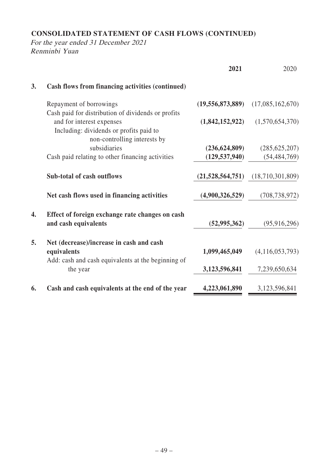# **CONSOLIDATED STATEMENT OF CASH FLOWS (CONTINUED)**

|    |                                                                         | 2021                | 2020               |
|----|-------------------------------------------------------------------------|---------------------|--------------------|
| 3. | Cash flows from financing activities (continued)                        |                     |                    |
|    | Repayment of borrowings                                                 | (19, 556, 873, 889) | (17,085,162,670)   |
|    | Cash paid for distribution of dividends or profits                      |                     |                    |
|    | and for interest expenses                                               | (1,842,152,922)     | (1,570,654,370)    |
|    | Including: dividends or profits paid to                                 |                     |                    |
|    | non-controlling interests by                                            |                     |                    |
|    | subsidiaries                                                            | (236, 624, 809)     | (285, 625, 207)    |
|    | Cash paid relating to other financing activities                        | (129, 537, 940)     | (54, 484, 769)     |
|    | Sub-total of cash outflows                                              | (21,528,564,751)    | (18,710,301,809)   |
|    | Net cash flows used in financing activities                             | (4,900,326,529)     | (708, 738, 972)    |
| 4. | Effect of foreign exchange rate changes on cash<br>and cash equivalents | (52, 995, 362)      | (95, 916, 296)     |
| 5. | Net (decrease)/increase in cash and cash                                |                     |                    |
|    | equivalents                                                             | 1,099,465,049       | (4, 116, 053, 793) |
|    | Add: cash and cash equivalents at the beginning of                      |                     |                    |
|    | the year                                                                | 3,123,596,841       | 7,239,650,634      |
| 6. | Cash and cash equivalents at the end of the year                        | 4,223,061,890       | 3,123,596,841      |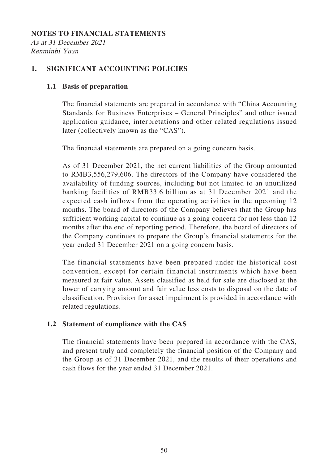#### **NOTES TO FINANCIAL STATEMENTS**

As at 31 December 2021 Renminbi Yuan

## **1. SIGNIFICANT ACCOUNTING POLICIES**

## **1.1 Basis of preparation**

The financial statements are prepared in accordance with "China Accounting Standards for Business Enterprises – General Principles" and other issued application guidance, interpretations and other related regulations issued later (collectively known as the "CAS").

The financial statements are prepared on a going concern basis.

As of 31 December 2021, the net current liabilities of the Group amounted to RMB3,556,279,606. The directors of the Company have considered the availability of funding sources, including but not limited to an unutilized banking facilities of RMB33.6 billion as at 31 December 2021 and the expected cash inflows from the operating activities in the upcoming 12 months. The board of directors of the Company believes that the Group has sufficient working capital to continue as a going concern for not less than 12 months after the end of reporting period. Therefore, the board of directors of the Company continues to prepare the Group's financial statements for the year ended 31 December 2021 on a going concern basis.

The financial statements have been prepared under the historical cost convention, except for certain financial instruments which have been measured at fair value. Assets classified as held for sale are disclosed at the lower of carrying amount and fair value less costs to disposal on the date of classification. Provision for asset impairment is provided in accordance with related regulations.

## **1.2 Statement of compliance with the CAS**

The financial statements have been prepared in accordance with the CAS, and present truly and completely the financial position of the Company and the Group as of 31 December 2021, and the results of their operations and cash flows for the year ended 31 December 2021.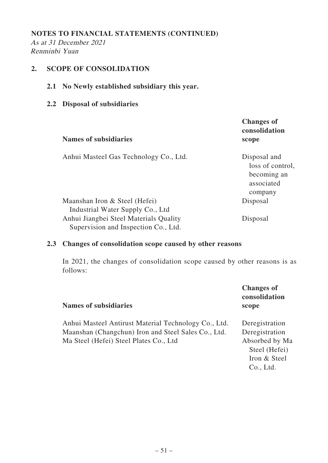As at 31 December 2021 Renminbi Yuan

## **2. SCOPE OF CONSOLIDATION**

- **2.1 No Newly established subsidiary this year.**
- **2.2 Disposal of subsidiaries**

| <b>Names of subsidiaries</b>                                                                                                                        | <b>Changes of</b><br>consolidation<br>scope                              |
|-----------------------------------------------------------------------------------------------------------------------------------------------------|--------------------------------------------------------------------------|
| Anhui Masteel Gas Technology Co., Ltd.                                                                                                              | Disposal and<br>loss of control,<br>becoming an<br>associated<br>company |
| Maanshan Iron & Steel (Hefei)<br>Industrial Water Supply Co., Ltd<br>Anhui Jiangbei Steel Materials Quality<br>Supervision and Inspection Co., Ltd. | Disposal<br>Disposal                                                     |

## **2.3 Changes of consolidation scope caused by other reasons**

In 2021, the changes of consolidation scope caused by other reasons is as follows:

| <b>Names of subsidiaries</b>                                                                                                                          | <b>Changes of</b><br>consolidation<br>scope                                                      |
|-------------------------------------------------------------------------------------------------------------------------------------------------------|--------------------------------------------------------------------------------------------------|
| Anhui Masteel Antirust Material Technology Co., Ltd.<br>Maanshan (Changchun) Iron and Steel Sales Co., Ltd.<br>Ma Steel (Hefei) Steel Plates Co., Ltd | Deregistration<br>Deregistration<br>Absorbed by Ma<br>Steel (Hefei)<br>Iron & Steel<br>Co., Ltd. |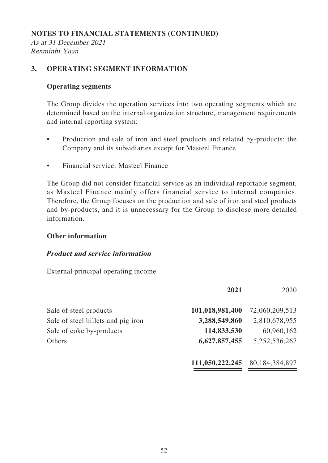As at 31 December 2021 Renminbi Yuan

## **3. OPERATING SEGMENT INFORMATION**

## **Operating segments**

The Group divides the operation services into two operating segments which are determined based on the internal organization structure, management requirements and internal reporting system:

- Production and sale of iron and steel products and related by-products: the Company and its subsidiaries except for Masteel Finance
- Financial service: Masteel Finance

The Group did not consider financial service as an individual reportable segment, as Masteel Finance mainly offers financial service to internal companies. Therefore, the Group focuses on the production and sale of iron and steel products and by-products, and it is unnecessary for the Group to disclose more detailed information.

## **Other information**

## **Product and service information**

External principal operating income

|                                    | 2021            | 2020           |
|------------------------------------|-----------------|----------------|
| Sale of steel products             | 101,018,981,400 | 72,060,209,513 |
| Sale of steel billets and pig iron | 3,288,549,860   | 2,810,678,955  |
| Sale of coke by-products           | 114,833,530     | 60,960,162     |
| Others                             | 6,627,857,455   | 5,252,536,267  |
|                                    | 111,050,222,245 | 80,184,384,897 |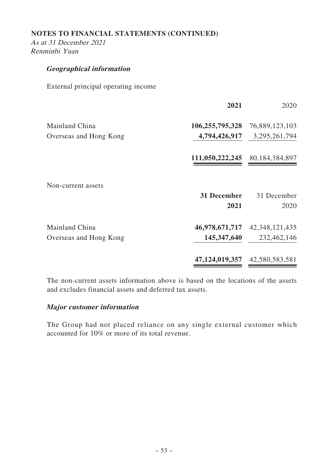As at 31 December 2021 Renminbi Yuan

## **Geographical information**

External principal operating income

|                        | 2021                | 2020                |
|------------------------|---------------------|---------------------|
| Mainland China         | 106,255,795,328     | 76,889,123,103      |
| Overseas and Hong Kong | 4,794,426,917       | 3,295,261,794       |
|                        | 111,050,222,245     | 80,184,384,897      |
| Non-current assets     |                     |                     |
|                        | 31 December<br>2021 | 31 December<br>2020 |
| Mainland China         | 46,978,671,717      | 42, 348, 121, 435   |
| Overseas and Hong Kong | 145, 347, 640       | 232,462,146         |
|                        | 47,124,019,357      | 42,580,583,581      |

The non-current assets information above is based on the locations of the assets and excludes financial assets and deferred tax assets.

#### **Major customer information**

The Group had not placed reliance on any single external customer which accounted for 10% or more of its total revenue.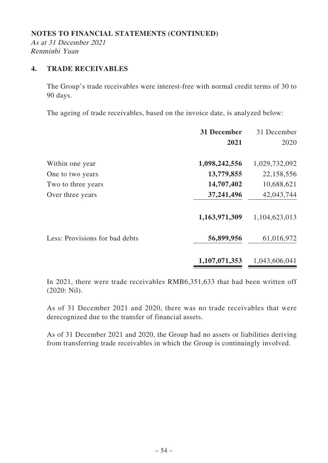As at 31 December 2021 Renminbi Yuan

# **4. TRADE RECEIVABLES**

The Group's trade receivables were interest-free with normal credit terms of 30 to 90 days.

The ageing of trade receivables, based on the invoice date, is analyzed below:

|                                | 31 December   | 31 December   |
|--------------------------------|---------------|---------------|
|                                | 2021          | 2020          |
| Within one year                | 1,098,242,556 | 1,029,732,092 |
| One to two years               | 13,779,855    | 22,158,556    |
| Two to three years             | 14,707,402    | 10,688,621    |
| Over three years               | 37,241,496    | 42,043,744    |
|                                | 1,163,971,309 | 1,104,623,013 |
| Less: Provisions for bad debts | 56,899,956    | 61,016,972    |
|                                | 1,107,071,353 | 1,043,606,041 |

In 2021, there were trade receivables RMB6,351,633 that had been written off (2020: Nil).

As of 31 December 2021 and 2020, there was no trade receivables that were derecognized due to the transfer of financial assets.

As of 31 December 2021 and 2020, the Group had no assets or liabilities deriving from transferring trade receivables in which the Group is continuingly involved.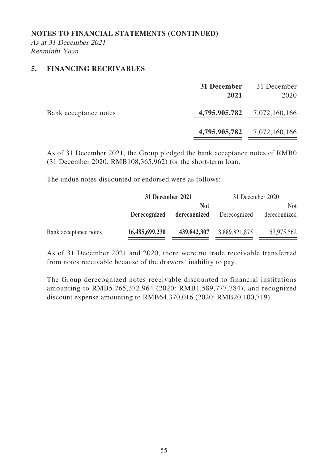As at 31 December 2021 Renminbi Yuan

## **5. FINANCING RECEIVABLES**

|                       | 31 December<br>2021 | 31 December<br>2020         |
|-----------------------|---------------------|-----------------------------|
| Bank acceptance notes |                     | 4,795,905,782 7,072,160,166 |
|                       |                     | 4,795,905,782 7,072,160,166 |

As of 31 December 2021, the Group pledged the bank acceptance notes of RMB0 (31 December 2020: RMB108,365,962) for the short-term loan.

The undue notes discounted or endorsed were as follows:

|                       | 31 December 2021 |              | 31 December 2020 |              |
|-----------------------|------------------|--------------|------------------|--------------|
|                       |                  | <b>Not</b>   |                  | <b>Not</b>   |
|                       | Derecognized     | derecognized | Derecognized     | derecognized |
| Bank acceptance notes | 16,485,699,230   | 439,842,307  | 8,889,821,875    | 157,975,562  |

As of 31 December 2021 and 2020, there were no trade receivable transferred from notes receivable because of the drawers' inability to pay.

The Group derecognized notes receivable discounted to financial institutions amounting to RMB5,765,372,964 (2020: RMB1,589,777,784), and recognized discount expense amounting to RMB64,370,016 (2020: RMB20,100,719).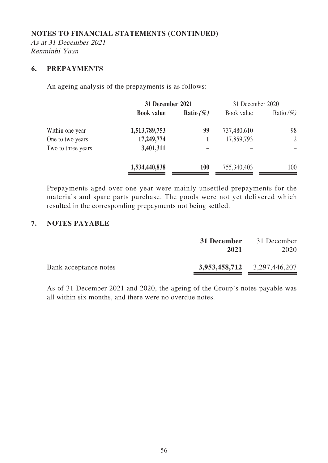As at 31 December 2021 Renminbi Yuan

#### **6. PREPAYMENTS**

An ageing analysis of the prepayments is as follows:

|                    | 31 December 2021  |              | 31 December 2020 |                |
|--------------------|-------------------|--------------|------------------|----------------|
|                    | <b>Book value</b> | Ratio $(\%)$ | Book value       | Ratio $(\%)$   |
| Within one year    | 1,513,789,753     | 99           | 737,480,610      | 98             |
| One to two years   | 17,249,774        |              | 17,859,793       | $\overline{2}$ |
| Two to three years | 3,401,311         |              |                  |                |
|                    | 1,534,440,838     | <b>100</b>   | 755,340,403      | 100            |

Prepayments aged over one year were mainly unsettled prepayments for the materials and spare parts purchase. The goods were not yet delivered which resulted in the corresponding prepayments not being settled.

## **7. NOTES PAYABLE**

|                       | 31 December<br>2021 | 31 December<br>2020         |
|-----------------------|---------------------|-----------------------------|
| Bank acceptance notes |                     | 3,953,458,712 3,297,446,207 |

As of 31 December 2021 and 2020, the ageing of the Group's notes payable was all within six months, and there were no overdue notes.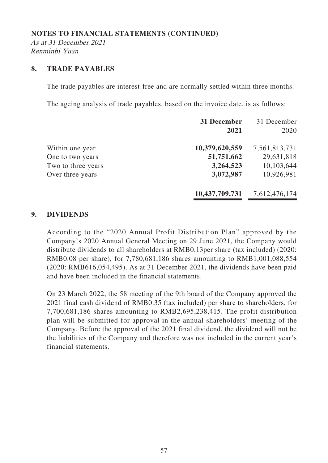As at 31 December 2021 Renminbi Yuan

#### **8. TRADE PAYABLES**

The trade payables are interest-free and are normally settled within three months.

The ageing analysis of trade payables, based on the invoice date, is as follows:

| 31 December<br>2021 | 31 December<br>2020 |
|---------------------|---------------------|
| 10,379,620,559      | 7,561,813,731       |
| 51,751,662          | 29,631,818          |
| 3,264,523           | 10,103,644          |
| 3,072,987           | 10,926,981          |
| 10,437,709,731      | 7,612,476,174       |
|                     |                     |

## **9. DIVIDENDS**

According to the "2020 Annual Profit Distribution Plan" approved by the Company's 2020 Annual General Meeting on 29 June 2021, the Company would distribute dividends to all shareholders at RMB0.13per share (tax included) (2020: RMB0.08 per share), for 7,780,681,186 shares amounting to RMB1,001,088,554 (2020: RMB616,054,495). As at 31 December 2021, the dividends have been paid and have been included in the financial statements.

On 23 March 2022, the 58 meeting of the 9th board of the Company approved the 2021 final cash dividend of RMB0.35 (tax included) per share to shareholders, for 7,700,681,186 shares amounting to RMB2,695,238,415. The profit distribution plan will be submitted for approval in the annual shareholders' meeting of the Company. Before the approval of the 2021 final dividend, the dividend will not be the liabilities of the Company and therefore was not included in the current year's financial statements.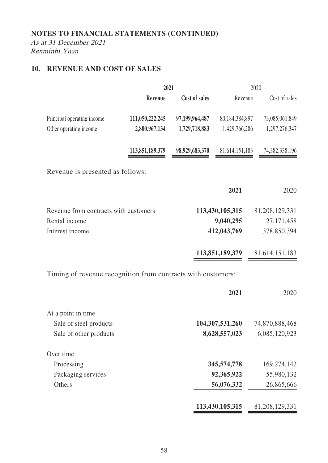As at 31 December 2021 Renminbi Yuan

# **10. REVENUE AND COST OF SALES**

|                                                              | 2021            |                |                   | 2020           |
|--------------------------------------------------------------|-----------------|----------------|-------------------|----------------|
|                                                              | Revenue         | Cost of sales  | Revenue           | Cost of sales  |
| Principal operating income                                   | 111,050,222,245 | 97,199,964,487 | 80,184,384,897    | 73,085,061,849 |
| Other operating income                                       | 2,800,967,134   | 1,729,718,883  | 1,429,766,286     | 1,297,276,347  |
|                                                              | 113,851,189,379 | 98,929,683,370 | 81, 614, 151, 183 | 74,382,338,196 |
| Revenue is presented as follows:                             |                 |                |                   |                |
|                                                              |                 |                | 2021              | 2020           |
| Revenue from contracts with customers                        |                 |                | 113,430,105,315   | 81,208,129,331 |
| Rental income                                                |                 |                | 9,040,295         | 27, 171, 458   |
| Interest income                                              |                 |                | 412,043,769       | 378,850,394    |
|                                                              |                 |                | 113,851,189,379   | 81,614,151,183 |
| Timing of revenue recognition from contracts with customers: |                 |                |                   |                |
|                                                              |                 |                | 2021              | 2020           |
| At a point in time                                           |                 |                |                   |                |
| Sale of steel products                                       |                 |                | 104,307,531,260   | 74,870,888,468 |
| Sale of other products                                       |                 |                | 8,628,557,023     | 6,085,120,923  |
| Over time                                                    |                 |                |                   |                |
| Processing                                                   |                 |                | 345,574,778       | 169,274,142    |
| Packaging services                                           |                 |                | 92,365,922        | 55,980,132     |
| Others                                                       |                 |                | 56,076,332        | 26,865,666     |
|                                                              |                 |                | 113,430,105,315   | 81,208,129,331 |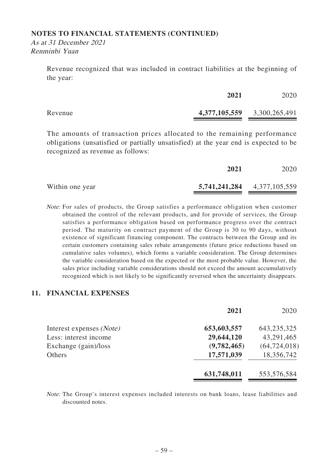As at 31 December 2021 Renminbi Yuan

> Revenue recognized that was included in contract liabilities at the beginning of the year:

|         | 2021                        | 2020 |
|---------|-----------------------------|------|
| Revenue | 4,377,105,559 3,300,265,491 |      |

The amounts of transaction prices allocated to the remaining performance obligations (unsatisfied or partially unsatisfied) at the year end is expected to be recognized as revenue as follows:

|                 | 2021                        | 2020 |
|-----------------|-----------------------------|------|
| Within one year | 5,741,241,284 4,377,105,559 |      |

Note: For sales of products, the Group satisfies a performance obligation when customer obtained the control of the relevant products, and for provide of services, the Group satisfies a performance obligation based on performance progress over the contract period. The maturity on contract payment of the Group is 30 to 90 days, without existence of significant financing component. The contracts between the Group and its certain customers containing sales rebate arrangements (future price reductions based on cumulative sales volumes), which forms a variable consideration. The Group determines the variable consideration based on the expected or the most probable value. However, the sales price including variable considerations should not exceed the amount accumulatively recognized which is not likely to be significantly reversed when the uncertainty disappears.

#### **11. FINANCIAL EXPENSES**

|                          | 2021        | 2020           |
|--------------------------|-------------|----------------|
| Interest expenses (Note) | 653,603,557 | 643, 235, 325  |
| Less: interest income    | 29,644,120  | 43,291,465     |
| Exchange (gain)/loss     | (9,782,465) | (64, 724, 018) |
| Others                   | 17,571,039  | 18,356,742     |
|                          | 631,748,011 | 553,576,584    |

Note: The Group's interest expenses included interests on bank loans, lease liabilities and discounted notes.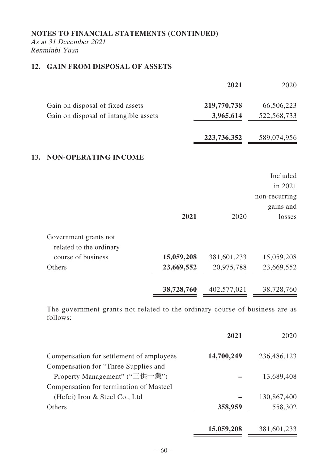#### **NOTES TO FINANCIAL STATEMENTS (CONTINUED)** As at 31 December 2021 Renminbi Yuan

# **12. GAIN FROM DISPOSAL OF ASSETS**

|     |                                                  |            | 2021        | 2020          |
|-----|--------------------------------------------------|------------|-------------|---------------|
|     | Gain on disposal of fixed assets                 |            | 219,770,738 | 66,506,223    |
|     | Gain on disposal of intangible assets            |            | 3,965,614   | 522, 568, 733 |
|     |                                                  |            | 223,736,352 | 589,074,956   |
| 13. | <b>NON-OPERATING INCOME</b>                      |            |             |               |
|     |                                                  |            |             | Included      |
|     |                                                  |            |             | in 2021       |
|     |                                                  |            |             | non-recurring |
|     |                                                  |            |             | gains and     |
|     |                                                  | 2021       | 2020        | losses        |
|     | Government grants not<br>related to the ordinary |            |             |               |
|     | course of business                               | 15,059,208 | 381,601,233 | 15,059,208    |
|     | Others                                           | 23,669,552 | 20,975,788  | 23,669,552    |
|     |                                                  | 38,728,760 | 402,577,021 | 38,728,760    |

The government grants not related to the ordinary course of business are as follows:

|                                          | 2021       | 2020        |
|------------------------------------------|------------|-------------|
| Compensation for settlement of employees | 14,700,249 | 236,486,123 |
| Compensation for "Three Supplies and     |            |             |
| Property Management" ("三供一業")            |            | 13,689,408  |
| Compensation for termination of Masteel  |            |             |
| (Hefei) Iron & Steel Co., Ltd            |            | 130,867,400 |
| Others                                   | 358,959    | 558,302     |
|                                          | 15,059,208 | 381,601,233 |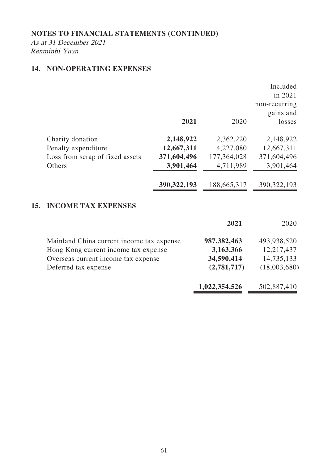As at 31 December 2021 Renminbi Yuan

# **14. NON-OPERATING EXPENSES**

|     |                                 | 2021          | 2020        | Included<br>in 2021<br>non-recurring<br>gains and<br>losses |
|-----|---------------------------------|---------------|-------------|-------------------------------------------------------------|
|     | Charity donation                | 2,148,922     | 2,362,220   | 2,148,922                                                   |
|     | Penalty expenditure             | 12,667,311    | 4,227,080   | 12,667,311                                                  |
|     | Loss from scrap of fixed assets | 371,604,496   | 177,364,028 | 371,604,496                                                 |
|     | Others                          | 3,901,464     | 4,711,989   | 3,901,464                                                   |
|     |                                 | 390, 322, 193 | 188,665,317 | 390, 322, 193                                               |
| 15. | <b>INCOME TAX EXPENSES</b>      |               |             |                                                             |
|     |                                 |               | 2021        | 2020                                                        |
|     |                                 |               |             |                                                             |

| Mainland China current income tax expense | 987, 382, 463 | 493,938,520  |
|-------------------------------------------|---------------|--------------|
| Hong Kong current income tax expense      | 3,163,366     | 12,217,437   |
| Overseas current income tax expense       | 34,590,414    | 14,735,133   |
| Deferred tax expense                      | (2,781,717)   | (18,003,680) |
|                                           |               |              |

 $\blacksquare$ 

**1,022,354,526** 502,887,410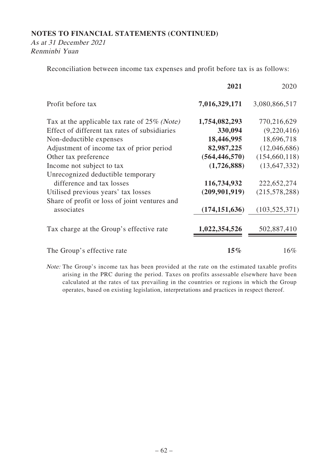As at 31 December 2021 Renminbi Yuan

Reconciliation between income tax expenses and profit before tax is as follows:

|                                                 | 2021            | 2020            |
|-------------------------------------------------|-----------------|-----------------|
| Profit before tax                               | 7,016,329,171   | 3,080,866,517   |
| Tax at the applicable tax rate of $25\%$ (Note) | 1,754,082,293   | 770,216,629     |
| Effect of different tax rates of subsidiaries   | 330,094         | (9,220,416)     |
| Non-deductible expenses                         | 18,446,995      | 18,696,718      |
| Adjustment of income tax of prior period        | 82,987,225      | (12,046,686)    |
| Other tax preference                            | (564, 446, 570) | (154, 660, 118) |
| Income not subject to tax                       | (1,726,888)     | (13, 647, 332)  |
| Unrecognized deductible temporary               |                 |                 |
| difference and tax losses                       | 116,734,932     | 222,652,274     |
| Utilised previous years' tax losses             | (209, 901, 919) | (215, 578, 288) |
| Share of profit or loss of joint ventures and   |                 |                 |
| associates                                      | (174, 151, 636) | (103, 525, 371) |
| Tax charge at the Group's effective rate        | 1,022,354,526   | 502,887,410     |
| The Group's effective rate                      | $15\%$          | 16%             |

Note: The Group's income tax has been provided at the rate on the estimated taxable profits arising in the PRC during the period. Taxes on profits assessable elsewhere have been calculated at the rates of tax prevailing in the countries or regions in which the Group operates, based on existing legislation, interpretations and practices in respect thereof.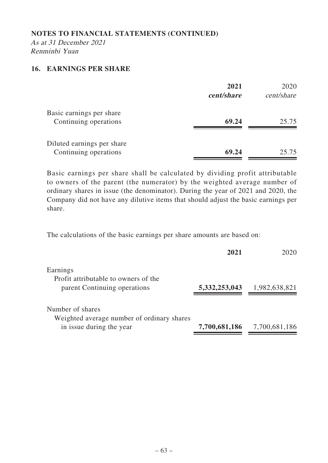As at 31 December 2021 Renminbi Yuan

## **16. EARNINGS PER SHARE**

|                                                     | 2021<br>cent/share | 2020<br>cent/share |
|-----------------------------------------------------|--------------------|--------------------|
| Basic earnings per share<br>Continuing operations   | 69.24              | 25.75              |
| Diluted earnings per share<br>Continuing operations | 69.24              | 25.75              |

Basic earnings per share shall be calculated by dividing profit attributable to owners of the parent (the numerator) by the weighted average number of ordinary shares in issue (the denominator). During the year of 2021 and 2020, the Company did not have any dilutive items that should adjust the basic earnings per share.

The calculations of the basic earnings per share amounts are based on:

| 2021          | 2020          |
|---------------|---------------|
|               |               |
|               |               |
| 5,332,253,043 | 1,982,638,821 |
|               |               |
|               |               |
| 7,700,681,186 | 7,700,681,186 |
|               |               |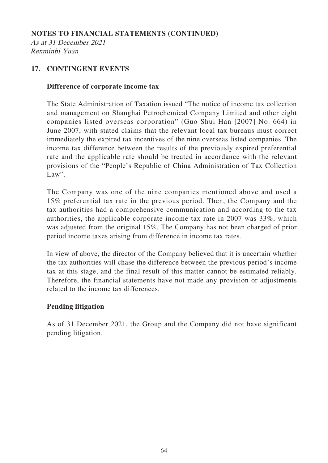As at 31 December 2021 Renminbi Yuan

# **17. CONTINGENT EVENTS**

## **Difference of corporate income tax**

The State Administration of Taxation issued "The notice of income tax collection and management on Shanghai Petrochemical Company Limited and other eight companies listed overseas corporation" (Guo Shui Han [2007] No. 664) in June 2007, with stated claims that the relevant local tax bureaus must correct immediately the expired tax incentives of the nine overseas listed companies. The income tax difference between the results of the previously expired preferential rate and the applicable rate should be treated in accordance with the relevant provisions of the "People's Republic of China Administration of Tax Collection Law".

The Company was one of the nine companies mentioned above and used a 15% preferential tax rate in the previous period. Then, the Company and the tax authorities had a comprehensive communication and according to the tax authorities, the applicable corporate income tax rate in 2007 was 33%, which was adjusted from the original 15%. The Company has not been charged of prior period income taxes arising from difference in income tax rates.

In view of above, the director of the Company believed that it is uncertain whether the tax authorities will chase the difference between the previous period's income tax at this stage, and the final result of this matter cannot be estimated reliably. Therefore, the financial statements have not made any provision or adjustments related to the income tax differences.

## **Pending litigation**

As of 31 December 2021, the Group and the Company did not have significant pending litigation.